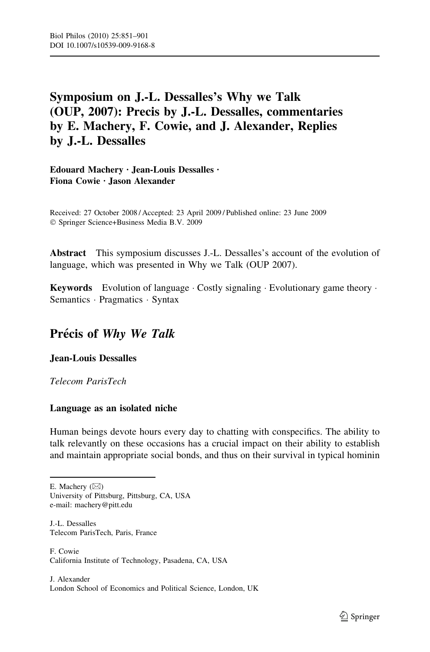# Symposium on J.-L. Dessalles's Why we Talk (OUP, 2007): Precis by J.-L. Dessalles, commentaries by E. Machery, F. Cowie, and J. Alexander, Replies by J.-L. Dessalles

Edouard Machery  $\cdot$  Jean-Louis Dessalles  $\cdot$ Fiona Cowie · Jason Alexander

Received: 27 October 2008 / Accepted: 23 April 2009 / Published online: 23 June 2009 - Springer Science+Business Media B.V. 2009

Abstract This symposium discusses J.-L. Dessalles's account of the evolution of language, which was presented in Why we Talk (OUP 2007).

Keywords Evolution of language · Costly signaling · Evolutionary game theory · Semantics - Pragmatics - Syntax

# Précis of Why We Talk

# Jean-Louis Dessalles

Telecom ParisTech

## Language as an isolated niche

Human beings devote hours every day to chatting with conspecifics. The ability to talk relevantly on these occasions has a crucial impact on their ability to establish and maintain appropriate social bonds, and thus on their survival in typical hominin

E. Machery  $(\boxtimes)$ 

University of Pittsburg, Pittsburg, CA, USA e-mail: machery@pitt.edu

J.-L. Dessalles Telecom ParisTech, Paris, France

F. Cowie California Institute of Technology, Pasadena, CA, USA

J. Alexander London School of Economics and Political Science, London, UK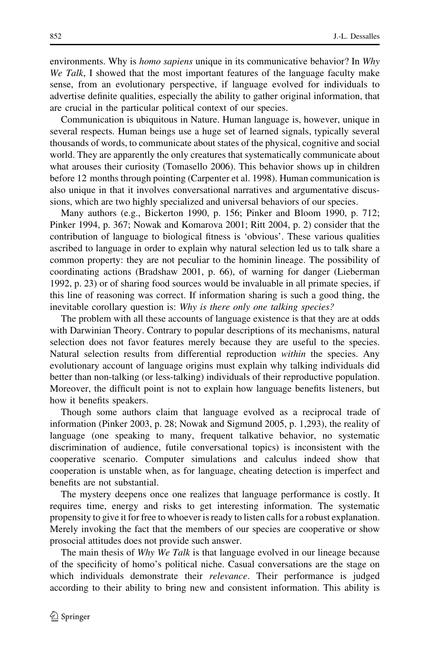environments. Why is *homo sapiens* unique in its communicative behavior? In Why We Talk, I showed that the most important features of the language faculty make sense, from an evolutionary perspective, if language evolved for individuals to advertise definite qualities, especially the ability to gather original information, that are crucial in the particular political context of our species.

Communication is ubiquitous in Nature. Human language is, however, unique in several respects. Human beings use a huge set of learned signals, typically several thousands of words, to communicate about states of the physical, cognitive and social world. They are apparently the only creatures that systematically communicate about what arouses their curiosity (Tomasello 2006). This behavior shows up in children before 12 months through pointing (Carpenter et al. 1998). Human communication is also unique in that it involves conversational narratives and argumentative discussions, which are two highly specialized and universal behaviors of our species.

Many authors (e.g., Bickerton 1990, p. 156; Pinker and Bloom 1990, p. 712; Pinker 1994, p. 367; Nowak and Komarova 2001; Ritt 2004, p. 2) consider that the contribution of language to biological fitness is 'obvious'. These various qualities ascribed to language in order to explain why natural selection led us to talk share a common property: they are not peculiar to the hominin lineage. The possibility of coordinating actions (Bradshaw 2001, p. 66), of warning for danger (Lieberman 1992, p. 23) or of sharing food sources would be invaluable in all primate species, if this line of reasoning was correct. If information sharing is such a good thing, the inevitable corollary question is: Why is there only one talking species?

The problem with all these accounts of language existence is that they are at odds with Darwinian Theory. Contrary to popular descriptions of its mechanisms, natural selection does not favor features merely because they are useful to the species. Natural selection results from differential reproduction within the species. Any evolutionary account of language origins must explain why talking individuals did better than non-talking (or less-talking) individuals of their reproductive population. Moreover, the difficult point is not to explain how language benefits listeners, but how it benefits speakers.

Though some authors claim that language evolved as a reciprocal trade of information (Pinker 2003, p. 28; Nowak and Sigmund 2005, p. 1,293), the reality of language (one speaking to many, frequent talkative behavior, no systematic discrimination of audience, futile conversational topics) is inconsistent with the cooperative scenario. Computer simulations and calculus indeed show that cooperation is unstable when, as for language, cheating detection is imperfect and benefits are not substantial.

The mystery deepens once one realizes that language performance is costly. It requires time, energy and risks to get interesting information. The systematic propensity to give it for free to whoever is ready to listen calls for a robust explanation. Merely invoking the fact that the members of our species are cooperative or show prosocial attitudes does not provide such answer.

The main thesis of *Why We Talk* is that language evolved in our lineage because of the specificity of homo's political niche. Casual conversations are the stage on which individuals demonstrate their *relevance*. Their performance is judged according to their ability to bring new and consistent information. This ability is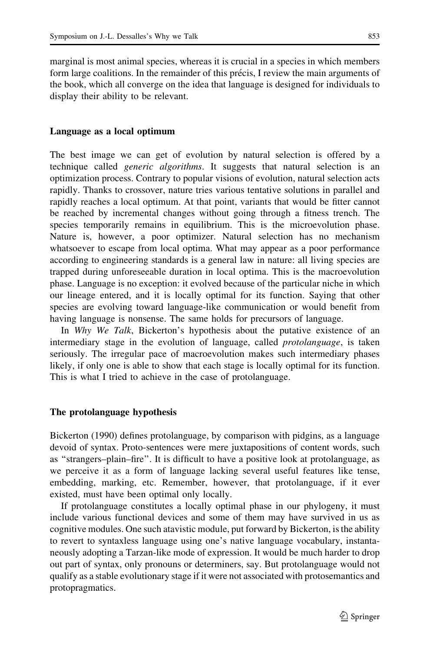marginal is most animal species, whereas it is crucial in a species in which members form large coalitions. In the remainder of this précis, I review the main arguments of the book, which all converge on the idea that language is designed for individuals to display their ability to be relevant.

#### Language as a local optimum

The best image we can get of evolution by natural selection is offered by a technique called *generic algorithms*. It suggests that natural selection is an optimization process. Contrary to popular visions of evolution, natural selection acts rapidly. Thanks to crossover, nature tries various tentative solutions in parallel and rapidly reaches a local optimum. At that point, variants that would be fitter cannot be reached by incremental changes without going through a fitness trench. The species temporarily remains in equilibrium. This is the microevolution phase. Nature is, however, a poor optimizer. Natural selection has no mechanism whatsoever to escape from local optima. What may appear as a poor performance according to engineering standards is a general law in nature: all living species are trapped during unforeseeable duration in local optima. This is the macroevolution phase. Language is no exception: it evolved because of the particular niche in which our lineage entered, and it is locally optimal for its function. Saying that other species are evolving toward language-like communication or would benefit from having language is nonsense. The same holds for precursors of language.

In Why We Talk, Bickerton's hypothesis about the putative existence of an intermediary stage in the evolution of language, called protolanguage, is taken seriously. The irregular pace of macroevolution makes such intermediary phases likely, if only one is able to show that each stage is locally optimal for its function. This is what I tried to achieve in the case of protolanguage.

#### The protolanguage hypothesis

Bickerton (1990) defines protolanguage, by comparison with pidgins, as a language devoid of syntax. Proto-sentences were mere juxtapositions of content words, such as ''strangers–plain–fire''. It is difficult to have a positive look at protolanguage, as we perceive it as a form of language lacking several useful features like tense, embedding, marking, etc. Remember, however, that protolanguage, if it ever existed, must have been optimal only locally.

If protolanguage constitutes a locally optimal phase in our phylogeny, it must include various functional devices and some of them may have survived in us as cognitive modules. One such atavistic module, put forward by Bickerton, is the ability to revert to syntaxless language using one's native language vocabulary, instantaneously adopting a Tarzan-like mode of expression. It would be much harder to drop out part of syntax, only pronouns or determiners, say. But protolanguage would not qualify as a stable evolutionary stage if it were not associated with protosemantics and protopragmatics.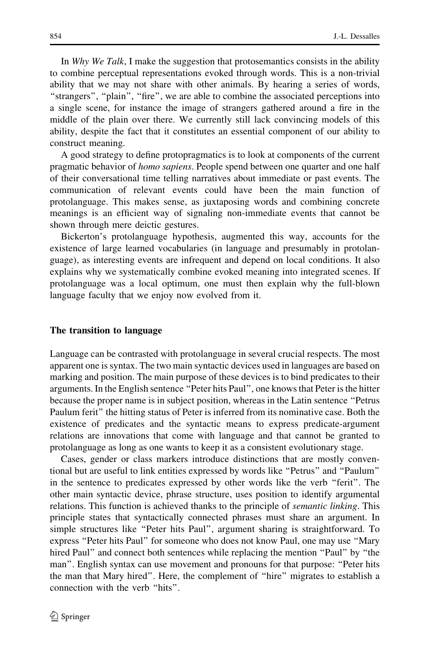In *Why We Talk*, I make the suggestion that protosemantics consists in the ability to combine perceptual representations evoked through words. This is a non-trivial ability that we may not share with other animals. By hearing a series of words, "strangers", "plain", "fire", we are able to combine the associated perceptions into a single scene, for instance the image of strangers gathered around a fire in the middle of the plain over there. We currently still lack convincing models of this ability, despite the fact that it constitutes an essential component of our ability to construct meaning.

A good strategy to define protopragmatics is to look at components of the current pragmatic behavior of *homo sapiens*. People spend between one quarter and one half of their conversational time telling narratives about immediate or past events. The communication of relevant events could have been the main function of protolanguage. This makes sense, as juxtaposing words and combining concrete meanings is an efficient way of signaling non-immediate events that cannot be shown through mere deictic gestures.

Bickerton's protolanguage hypothesis, augmented this way, accounts for the existence of large learned vocabularies (in language and presumably in protolanguage), as interesting events are infrequent and depend on local conditions. It also explains why we systematically combine evoked meaning into integrated scenes. If protolanguage was a local optimum, one must then explain why the full-blown language faculty that we enjoy now evolved from it.

#### The transition to language

Language can be contrasted with protolanguage in several crucial respects. The most apparent one is syntax. The two main syntactic devices used in languages are based on marking and position. The main purpose of these devices is to bind predicates to their arguments. In the English sentence ''Peter hits Paul'', one knows that Peter is the hitter because the proper name is in subject position, whereas in the Latin sentence ''Petrus Paulum ferit'' the hitting status of Peter is inferred from its nominative case. Both the existence of predicates and the syntactic means to express predicate-argument relations are innovations that come with language and that cannot be granted to protolanguage as long as one wants to keep it as a consistent evolutionary stage.

Cases, gender or class markers introduce distinctions that are mostly conventional but are useful to link entities expressed by words like ''Petrus'' and ''Paulum'' in the sentence to predicates expressed by other words like the verb ''ferit''. The other main syntactic device, phrase structure, uses position to identify argumental relations. This function is achieved thanks to the principle of *semantic linking*. This principle states that syntactically connected phrases must share an argument. In simple structures like ''Peter hits Paul'', argument sharing is straightforward. To express ''Peter hits Paul'' for someone who does not know Paul, one may use ''Mary hired Paul" and connect both sentences while replacing the mention "Paul" by "the man''. English syntax can use movement and pronouns for that purpose: ''Peter hits the man that Mary hired''. Here, the complement of ''hire'' migrates to establish a connection with the verb ''hits''.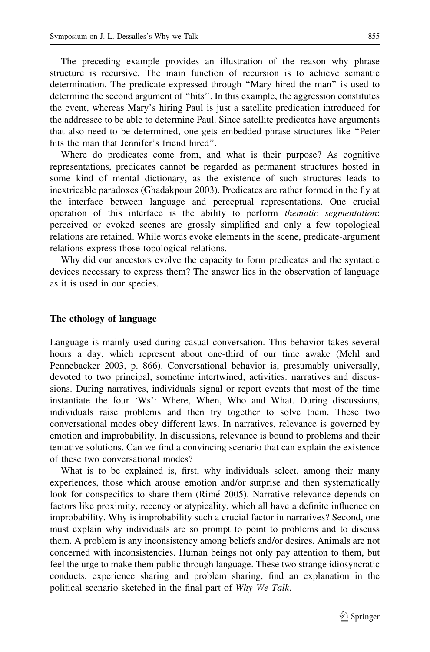The preceding example provides an illustration of the reason why phrase structure is recursive. The main function of recursion is to achieve semantic determination. The predicate expressed through ''Mary hired the man'' is used to determine the second argument of ''hits''. In this example, the aggression constitutes the event, whereas Mary's hiring Paul is just a satellite predication introduced for the addressee to be able to determine Paul. Since satellite predicates have arguments that also need to be determined, one gets embedded phrase structures like ''Peter hits the man that Jennifer's friend hired''.

Where do predicates come from, and what is their purpose? As cognitive representations, predicates cannot be regarded as permanent structures hosted in some kind of mental dictionary, as the existence of such structures leads to inextricable paradoxes (Ghadakpour 2003). Predicates are rather formed in the fly at the interface between language and perceptual representations. One crucial operation of this interface is the ability to perform thematic segmentation: perceived or evoked scenes are grossly simplified and only a few topological relations are retained. While words evoke elements in the scene, predicate-argument relations express those topological relations.

Why did our ancestors evolve the capacity to form predicates and the syntactic devices necessary to express them? The answer lies in the observation of language as it is used in our species.

### The ethology of language

Language is mainly used during casual conversation. This behavior takes several hours a day, which represent about one-third of our time awake (Mehl and Pennebacker 2003, p. 866). Conversational behavior is, presumably universally, devoted to two principal, sometime intertwined, activities: narratives and discussions. During narratives, individuals signal or report events that most of the time instantiate the four 'Ws': Where, When, Who and What. During discussions, individuals raise problems and then try together to solve them. These two conversational modes obey different laws. In narratives, relevance is governed by emotion and improbability. In discussions, relevance is bound to problems and their tentative solutions. Can we find a convincing scenario that can explain the existence of these two conversational modes?

What is to be explained is, first, why individuals select, among their many experiences, those which arouse emotion and/or surprise and then systematically look for conspecifics to share them (Rimé 2005). Narrative relevance depends on factors like proximity, recency or atypicality, which all have a definite influence on improbability. Why is improbability such a crucial factor in narratives? Second, one must explain why individuals are so prompt to point to problems and to discuss them. A problem is any inconsistency among beliefs and/or desires. Animals are not concerned with inconsistencies. Human beings not only pay attention to them, but feel the urge to make them public through language. These two strange idiosyncratic conducts, experience sharing and problem sharing, find an explanation in the political scenario sketched in the final part of Why We Talk.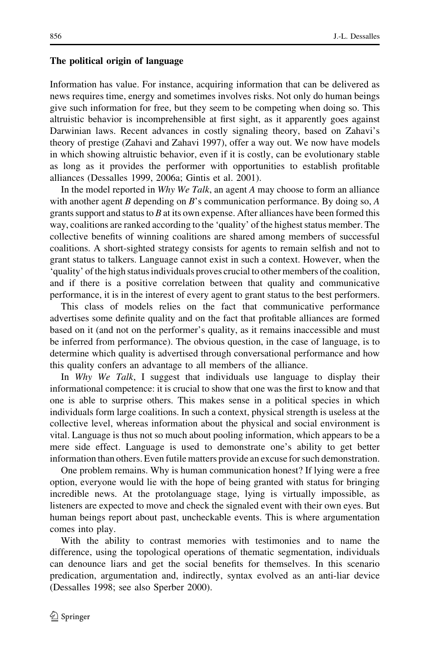#### The political origin of language

Information has value. For instance, acquiring information that can be delivered as news requires time, energy and sometimes involves risks. Not only do human beings give such information for free, but they seem to be competing when doing so. This altruistic behavior is incomprehensible at first sight, as it apparently goes against Darwinian laws. Recent advances in costly signaling theory, based on Zahavi's theory of prestige (Zahavi and Zahavi 1997), offer a way out. We now have models in which showing altruistic behavior, even if it is costly, can be evolutionary stable as long as it provides the performer with opportunities to establish profitable alliances (Dessalles 1999, 2006a; Gintis et al. 2001).

In the model reported in Why We Talk, an agent A may choose to form an alliance with another agent B depending on B's communication performance. By doing so,  $A$ grants support and status to  $B$  at its own expense. After alliances have been formed this way, coalitions are ranked according to the 'quality' of the highest status member. The collective benefits of winning coalitions are shared among members of successful coalitions. A short-sighted strategy consists for agents to remain selfish and not to grant status to talkers. Language cannot exist in such a context. However, when the 'quality' of the high status individuals proves crucial to other members of the coalition, and if there is a positive correlation between that quality and communicative performance, it is in the interest of every agent to grant status to the best performers.

This class of models relies on the fact that communicative performance advertises some definite quality and on the fact that profitable alliances are formed based on it (and not on the performer's quality, as it remains inaccessible and must be inferred from performance). The obvious question, in the case of language, is to determine which quality is advertised through conversational performance and how this quality confers an advantage to all members of the alliance.

In *Why We Talk*, I suggest that individuals use language to display their informational competence: it is crucial to show that one was the first to know and that one is able to surprise others. This makes sense in a political species in which individuals form large coalitions. In such a context, physical strength is useless at the collective level, whereas information about the physical and social environment is vital. Language is thus not so much about pooling information, which appears to be a mere side effect. Language is used to demonstrate one's ability to get better information than others. Even futile matters provide an excuse for such demonstration.

One problem remains. Why is human communication honest? If lying were a free option, everyone would lie with the hope of being granted with status for bringing incredible news. At the protolanguage stage, lying is virtually impossible, as listeners are expected to move and check the signaled event with their own eyes. But human beings report about past, uncheckable events. This is where argumentation comes into play.

With the ability to contrast memories with testimonies and to name the difference, using the topological operations of thematic segmentation, individuals can denounce liars and get the social benefits for themselves. In this scenario predication, argumentation and, indirectly, syntax evolved as an anti-liar device (Dessalles 1998; see also Sperber 2000).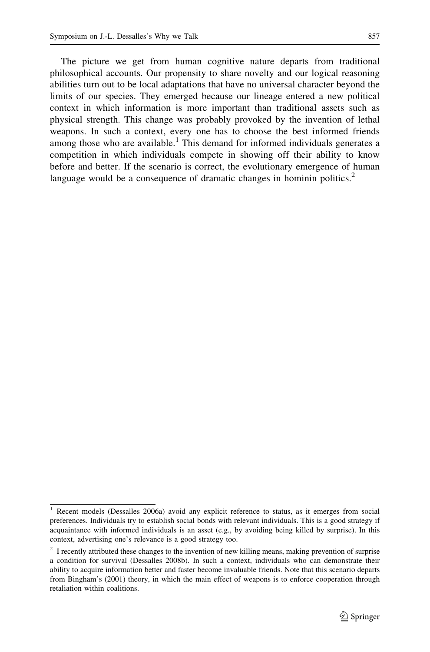The picture we get from human cognitive nature departs from traditional philosophical accounts. Our propensity to share novelty and our logical reasoning abilities turn out to be local adaptations that have no universal character beyond the limits of our species. They emerged because our lineage entered a new political context in which information is more important than traditional assets such as physical strength. This change was probably provoked by the invention of lethal weapons. In such a context, every one has to choose the best informed friends among those who are available.<sup>1</sup> This demand for informed individuals generates a competition in which individuals compete in showing off their ability to know before and better. If the scenario is correct, the evolutionary emergence of human language would be a consequence of dramatic changes in hominin politics.<sup>2</sup>

Recent models (Dessalles 2006a) avoid any explicit reference to status, as it emerges from social preferences. Individuals try to establish social bonds with relevant individuals. This is a good strategy if acquaintance with informed individuals is an asset (e.g., by avoiding being killed by surprise). In this context, advertising one's relevance is a good strategy too.

<sup>&</sup>lt;sup>2</sup> I recently attributed these changes to the invention of new killing means, making prevention of surprise a condition for survival (Dessalles 2008b). In such a context, individuals who can demonstrate their ability to acquire information better and faster become invaluable friends. Note that this scenario departs from Bingham's (2001) theory, in which the main effect of weapons is to enforce cooperation through retaliation within coalitions.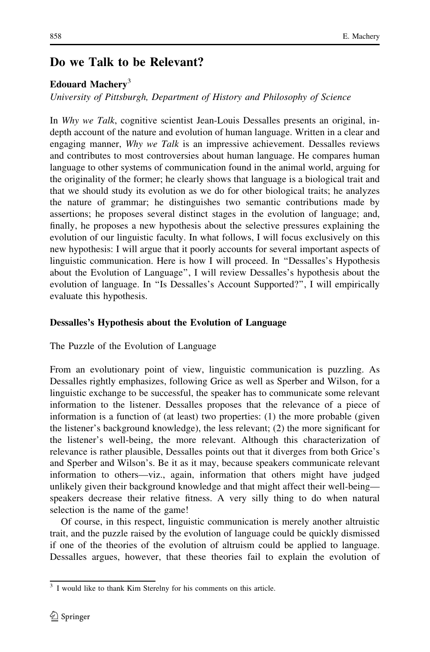# Do we Talk to be Relevant?

### Edouard Machery<sup>3</sup>

University of Pittsburgh, Department of History and Philosophy of Science

In *Why we Talk*, cognitive scientist Jean-Louis Dessalles presents an original, indepth account of the nature and evolution of human language. Written in a clear and engaging manner, Why we Talk is an impressive achievement. Dessalles reviews and contributes to most controversies about human language. He compares human language to other systems of communication found in the animal world, arguing for the originality of the former; he clearly shows that language is a biological trait and that we should study its evolution as we do for other biological traits; he analyzes the nature of grammar; he distinguishes two semantic contributions made by assertions; he proposes several distinct stages in the evolution of language; and, finally, he proposes a new hypothesis about the selective pressures explaining the evolution of our linguistic faculty. In what follows, I will focus exclusively on this new hypothesis: I will argue that it poorly accounts for several important aspects of linguistic communication. Here is how I will proceed. In ''Dessalles's Hypothesis about the Evolution of Language'', I will review Dessalles's hypothesis about the evolution of language. In ''Is Dessalles's Account Supported?'', I will empirically evaluate this hypothesis.

#### Dessalles's Hypothesis about the Evolution of Language

The Puzzle of the Evolution of Language

From an evolutionary point of view, linguistic communication is puzzling. As Dessalles rightly emphasizes, following Grice as well as Sperber and Wilson, for a linguistic exchange to be successful, the speaker has to communicate some relevant information to the listener. Dessalles proposes that the relevance of a piece of information is a function of (at least) two properties: (1) the more probable (given the listener's background knowledge), the less relevant; (2) the more significant for the listener's well-being, the more relevant. Although this characterization of relevance is rather plausible, Dessalles points out that it diverges from both Grice's and Sperber and Wilson's. Be it as it may, because speakers communicate relevant information to others—viz., again, information that others might have judged unlikely given their background knowledge and that might affect their well-being speakers decrease their relative fitness. A very silly thing to do when natural selection is the name of the game!

Of course, in this respect, linguistic communication is merely another altruistic trait, and the puzzle raised by the evolution of language could be quickly dismissed if one of the theories of the evolution of altruism could be applied to language. Dessalles argues, however, that these theories fail to explain the evolution of

<sup>&</sup>lt;sup>3</sup> I would like to thank Kim Sterelny for his comments on this article.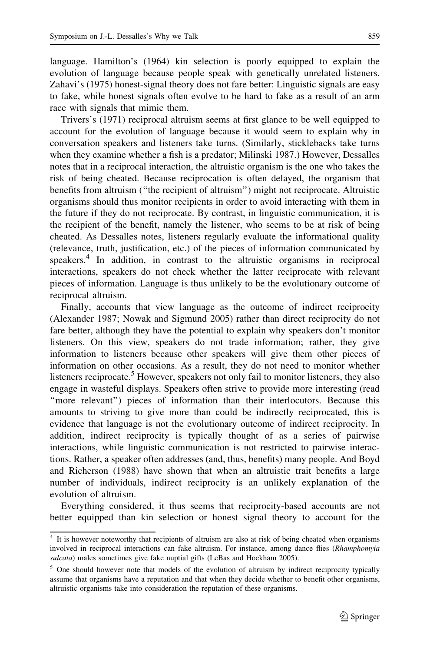language. Hamilton's (1964) kin selection is poorly equipped to explain the evolution of language because people speak with genetically unrelated listeners. Zahavi's (1975) honest-signal theory does not fare better: Linguistic signals are easy to fake, while honest signals often evolve to be hard to fake as a result of an arm race with signals that mimic them.

Trivers's (1971) reciprocal altruism seems at first glance to be well equipped to account for the evolution of language because it would seem to explain why in conversation speakers and listeners take turns. (Similarly, sticklebacks take turns when they examine whether a fish is a predator; Milinski 1987.) However, Dessalles notes that in a reciprocal interaction, the altruistic organism is the one who takes the risk of being cheated. Because reciprocation is often delayed, the organism that benefits from altruism (''the recipient of altruism'') might not reciprocate. Altruistic organisms should thus monitor recipients in order to avoid interacting with them in the future if they do not reciprocate. By contrast, in linguistic communication, it is the recipient of the benefit, namely the listener, who seems to be at risk of being cheated. As Dessalles notes, listeners regularly evaluate the informational quality (relevance, truth, justification, etc.) of the pieces of information communicated by speakers.<sup>4</sup> In addition, in contrast to the altruistic organisms in reciprocal interactions, speakers do not check whether the latter reciprocate with relevant pieces of information. Language is thus unlikely to be the evolutionary outcome of reciprocal altruism.

Finally, accounts that view language as the outcome of indirect reciprocity (Alexander 1987; Nowak and Sigmund 2005) rather than direct reciprocity do not fare better, although they have the potential to explain why speakers don't monitor listeners. On this view, speakers do not trade information; rather, they give information to listeners because other speakers will give them other pieces of information on other occasions. As a result, they do not need to monitor whether listeners reciprocate.<sup>5</sup> However, speakers not only fail to monitor listeners, they also engage in wasteful displays. Speakers often strive to provide more interesting (read "more relevant") pieces of information than their interlocutors. Because this amounts to striving to give more than could be indirectly reciprocated, this is evidence that language is not the evolutionary outcome of indirect reciprocity. In addition, indirect reciprocity is typically thought of as a series of pairwise interactions, while linguistic communication is not restricted to pairwise interactions. Rather, a speaker often addresses (and, thus, benefits) many people. And Boyd and Richerson (1988) have shown that when an altruistic trait benefits a large number of individuals, indirect reciprocity is an unlikely explanation of the evolution of altruism.

Everything considered, it thus seems that reciprocity-based accounts are not better equipped than kin selection or honest signal theory to account for the

<sup>&</sup>lt;sup>4</sup> It is however noteworthy that recipients of altruism are also at risk of being cheated when organisms involved in reciprocal interactions can fake altruism. For instance, among dance flies (Rhamphomyia sulcata) males sometimes give fake nuptial gifts (LeBas and Hockham 2005).

<sup>&</sup>lt;sup>5</sup> One should however note that models of the evolution of altruism by indirect reciprocity typically assume that organisms have a reputation and that when they decide whether to benefit other organisms, altruistic organisms take into consideration the reputation of these organisms.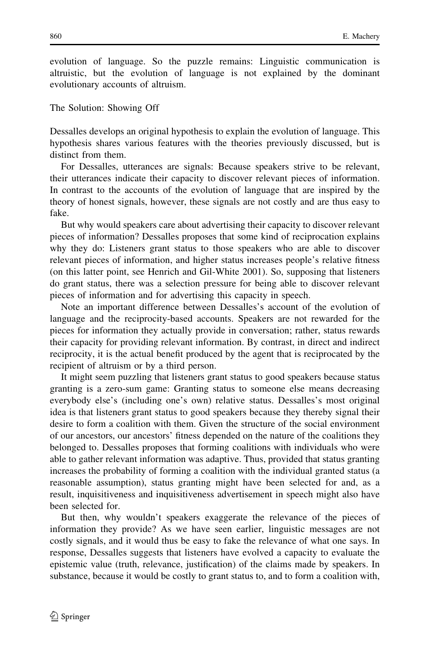evolution of language. So the puzzle remains: Linguistic communication is altruistic, but the evolution of language is not explained by the dominant evolutionary accounts of altruism.

#### The Solution: Showing Off

Dessalles develops an original hypothesis to explain the evolution of language. This hypothesis shares various features with the theories previously discussed, but is distinct from them.

For Dessalles, utterances are signals: Because speakers strive to be relevant, their utterances indicate their capacity to discover relevant pieces of information. In contrast to the accounts of the evolution of language that are inspired by the theory of honest signals, however, these signals are not costly and are thus easy to fake.

But why would speakers care about advertising their capacity to discover relevant pieces of information? Dessalles proposes that some kind of reciprocation explains why they do: Listeners grant status to those speakers who are able to discover relevant pieces of information, and higher status increases people's relative fitness (on this latter point, see Henrich and Gil-White 2001). So, supposing that listeners do grant status, there was a selection pressure for being able to discover relevant pieces of information and for advertising this capacity in speech.

Note an important difference between Dessalles's account of the evolution of language and the reciprocity-based accounts. Speakers are not rewarded for the pieces for information they actually provide in conversation; rather, status rewards their capacity for providing relevant information. By contrast, in direct and indirect reciprocity, it is the actual benefit produced by the agent that is reciprocated by the recipient of altruism or by a third person.

It might seem puzzling that listeners grant status to good speakers because status granting is a zero-sum game: Granting status to someone else means decreasing everybody else's (including one's own) relative status. Dessalles's most original idea is that listeners grant status to good speakers because they thereby signal their desire to form a coalition with them. Given the structure of the social environment of our ancestors, our ancestors' fitness depended on the nature of the coalitions they belonged to. Dessalles proposes that forming coalitions with individuals who were able to gather relevant information was adaptive. Thus, provided that status granting increases the probability of forming a coalition with the individual granted status (a reasonable assumption), status granting might have been selected for and, as a result, inquisitiveness and inquisitiveness advertisement in speech might also have been selected for.

But then, why wouldn't speakers exaggerate the relevance of the pieces of information they provide? As we have seen earlier, linguistic messages are not costly signals, and it would thus be easy to fake the relevance of what one says. In response, Dessalles suggests that listeners have evolved a capacity to evaluate the epistemic value (truth, relevance, justification) of the claims made by speakers. In substance, because it would be costly to grant status to, and to form a coalition with,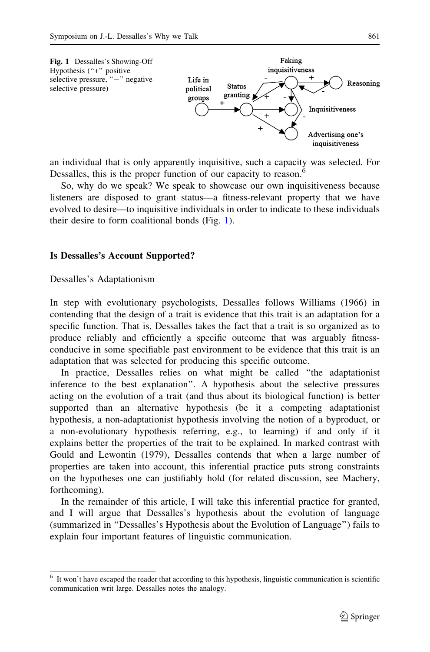<span id="page-10-0"></span>

an individual that is only apparently inquisitive, such a capacity was selected. For Dessalles, this is the proper function of our capacity to reason.<sup>6</sup>

So, why do we speak? We speak to showcase our own inquisitiveness because listeners are disposed to grant status—a fitness-relevant property that we have evolved to desire—to inquisitive individuals in order to indicate to these individuals their desire to form coalitional bonds (Fig. 1).

#### Is Dessalles's Account Supported?

#### Dessalles's Adaptationism

In step with evolutionary psychologists, Dessalles follows Williams (1966) in contending that the design of a trait is evidence that this trait is an adaptation for a specific function. That is, Dessalles takes the fact that a trait is so organized as to produce reliably and efficiently a specific outcome that was arguably fitnessconducive in some specifiable past environment to be evidence that this trait is an adaptation that was selected for producing this specific outcome.

In practice, Dessalles relies on what might be called ''the adaptationist inference to the best explanation''. A hypothesis about the selective pressures acting on the evolution of a trait (and thus about its biological function) is better supported than an alternative hypothesis (be it a competing adaptationist hypothesis, a non-adaptationist hypothesis involving the notion of a byproduct, or a non-evolutionary hypothesis referring, e.g., to learning) if and only if it explains better the properties of the trait to be explained. In marked contrast with Gould and Lewontin (1979), Dessalles contends that when a large number of properties are taken into account, this inferential practice puts strong constraints on the hypotheses one can justifiably hold (for related discussion, see Machery, forthcoming).

In the remainder of this article, I will take this inferential practice for granted, and I will argue that Dessalles's hypothesis about the evolution of language (summarized in ''Dessalles's Hypothesis about the Evolution of Language'') fails to explain four important features of linguistic communication.

 $6$  It won't have escaped the reader that according to this hypothesis, linguistic communication is scientific communication writ large. Dessalles notes the analogy.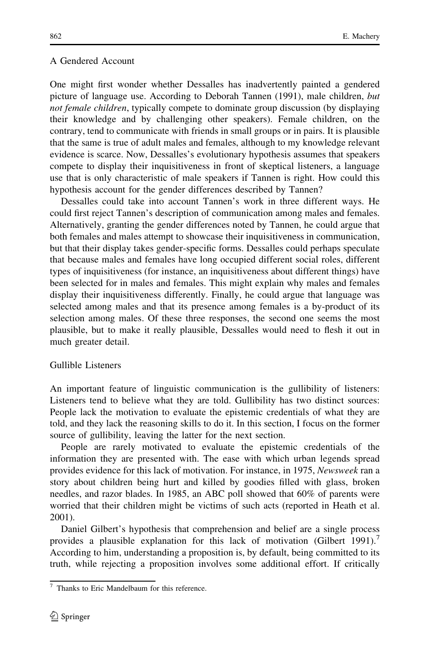### A Gendered Account

One might first wonder whether Dessalles has inadvertently painted a gendered picture of language use. According to Deborah Tannen (1991), male children, but not female children, typically compete to dominate group discussion (by displaying their knowledge and by challenging other speakers). Female children, on the contrary, tend to communicate with friends in small groups or in pairs. It is plausible that the same is true of adult males and females, although to my knowledge relevant evidence is scarce. Now, Dessalles's evolutionary hypothesis assumes that speakers compete to display their inquisitiveness in front of skeptical listeners, a language use that is only characteristic of male speakers if Tannen is right. How could this hypothesis account for the gender differences described by Tannen?

Dessalles could take into account Tannen's work in three different ways. He could first reject Tannen's description of communication among males and females. Alternatively, granting the gender differences noted by Tannen, he could argue that both females and males attempt to showcase their inquisitiveness in communication, but that their display takes gender-specific forms. Dessalles could perhaps speculate that because males and females have long occupied different social roles, different types of inquisitiveness (for instance, an inquisitiveness about different things) have been selected for in males and females. This might explain why males and females display their inquisitiveness differently. Finally, he could argue that language was selected among males and that its presence among females is a by-product of its selection among males. Of these three responses, the second one seems the most plausible, but to make it really plausible, Dessalles would need to flesh it out in much greater detail.

## Gullible Listeners

An important feature of linguistic communication is the gullibility of listeners: Listeners tend to believe what they are told. Gullibility has two distinct sources: People lack the motivation to evaluate the epistemic credentials of what they are told, and they lack the reasoning skills to do it. In this section, I focus on the former source of gullibility, leaving the latter for the next section.

People are rarely motivated to evaluate the epistemic credentials of the information they are presented with. The ease with which urban legends spread provides evidence for this lack of motivation. For instance, in 1975, Newsweek ran a story about children being hurt and killed by goodies filled with glass, broken needles, and razor blades. In 1985, an ABC poll showed that 60% of parents were worried that their children might be victims of such acts (reported in Heath et al. 2001).

Daniel Gilbert's hypothesis that comprehension and belief are a single process provides a plausible explanation for this lack of motivation (Gilbert 1991).<sup>7</sup> According to him, understanding a proposition is, by default, being committed to its truth, while rejecting a proposition involves some additional effort. If critically

 $7$  Thanks to Eric Mandelbaum for this reference.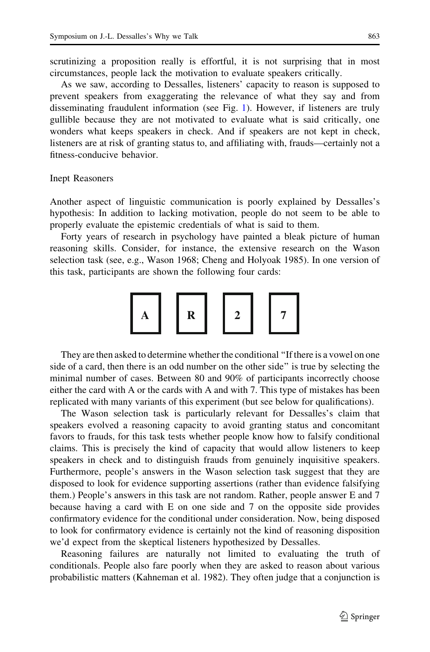scrutinizing a proposition really is effortful, it is not surprising that in most circumstances, people lack the motivation to evaluate speakers critically.

As we saw, according to Dessalles, listeners' capacity to reason is supposed to prevent speakers from exaggerating the relevance of what they say and from disseminating fraudulent information (see Fig. [1\)](#page-10-0). However, if listeners are truly gullible because they are not motivated to evaluate what is said critically, one wonders what keeps speakers in check. And if speakers are not kept in check, listeners are at risk of granting status to, and affiliating with, frauds—certainly not a fitness-conducive behavior.

#### Inept Reasoners

Another aspect of linguistic communication is poorly explained by Dessalles's hypothesis: In addition to lacking motivation, people do not seem to be able to properly evaluate the epistemic credentials of what is said to them.

Forty years of research in psychology have painted a bleak picture of human reasoning skills. Consider, for instance, the extensive research on the Wason selection task (see, e.g., Wason 1968; Cheng and Holyoak 1985). In one version of this task, participants are shown the following four cards:

$$
\begin{array}{|c|c|c|c|}\n\hline\nA & R & 2 & 7 \\
\hline\n\end{array}
$$

They are then asked to determine whether the conditional ''If there is a vowel on one side of a card, then there is an odd number on the other side'' is true by selecting the minimal number of cases. Between 80 and 90% of participants incorrectly choose either the card with A or the cards with A and with 7. This type of mistakes has been replicated with many variants of this experiment (but see below for qualifications).

The Wason selection task is particularly relevant for Dessalles's claim that speakers evolved a reasoning capacity to avoid granting status and concomitant favors to frauds, for this task tests whether people know how to falsify conditional claims. This is precisely the kind of capacity that would allow listeners to keep speakers in check and to distinguish frauds from genuinely inquisitive speakers. Furthermore, people's answers in the Wason selection task suggest that they are disposed to look for evidence supporting assertions (rather than evidence falsifying them.) People's answers in this task are not random. Rather, people answer E and 7 because having a card with E on one side and 7 on the opposite side provides confirmatory evidence for the conditional under consideration. Now, being disposed to look for confirmatory evidence is certainly not the kind of reasoning disposition we'd expect from the skeptical listeners hypothesized by Dessalles.

Reasoning failures are naturally not limited to evaluating the truth of conditionals. People also fare poorly when they are asked to reason about various probabilistic matters (Kahneman et al. 1982). They often judge that a conjunction is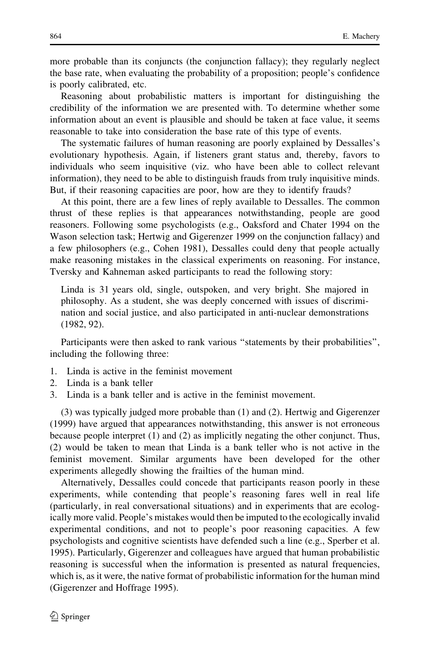more probable than its conjuncts (the conjunction fallacy); they regularly neglect the base rate, when evaluating the probability of a proposition; people's confidence is poorly calibrated, etc.

Reasoning about probabilistic matters is important for distinguishing the credibility of the information we are presented with. To determine whether some information about an event is plausible and should be taken at face value, it seems reasonable to take into consideration the base rate of this type of events.

The systematic failures of human reasoning are poorly explained by Dessalles's evolutionary hypothesis. Again, if listeners grant status and, thereby, favors to individuals who seem inquisitive (viz. who have been able to collect relevant information), they need to be able to distinguish frauds from truly inquisitive minds. But, if their reasoning capacities are poor, how are they to identify frauds?

At this point, there are a few lines of reply available to Dessalles. The common thrust of these replies is that appearances notwithstanding, people are good reasoners. Following some psychologists (e.g., Oaksford and Chater 1994 on the Wason selection task; Hertwig and Gigerenzer 1999 on the conjunction fallacy) and a few philosophers (e.g., Cohen 1981), Dessalles could deny that people actually make reasoning mistakes in the classical experiments on reasoning. For instance, Tversky and Kahneman asked participants to read the following story:

Linda is 31 years old, single, outspoken, and very bright. She majored in philosophy. As a student, she was deeply concerned with issues of discrimination and social justice, and also participated in anti-nuclear demonstrations (1982, 92).

Participants were then asked to rank various ''statements by their probabilities'', including the following three:

- 1. Linda is active in the feminist movement
- 2. Linda is a bank teller
- 3. Linda is a bank teller and is active in the feminist movement.

(3) was typically judged more probable than (1) and (2). Hertwig and Gigerenzer (1999) have argued that appearances notwithstanding, this answer is not erroneous because people interpret (1) and (2) as implicitly negating the other conjunct. Thus, (2) would be taken to mean that Linda is a bank teller who is not active in the feminist movement. Similar arguments have been developed for the other experiments allegedly showing the frailties of the human mind.

Alternatively, Dessalles could concede that participants reason poorly in these experiments, while contending that people's reasoning fares well in real life (particularly, in real conversational situations) and in experiments that are ecologically more valid. People's mistakes would then be imputed to the ecologically invalid experimental conditions, and not to people's poor reasoning capacities. A few psychologists and cognitive scientists have defended such a line (e.g., Sperber et al. 1995). Particularly, Gigerenzer and colleagues have argued that human probabilistic reasoning is successful when the information is presented as natural frequencies, which is, as it were, the native format of probabilistic information for the human mind (Gigerenzer and Hoffrage 1995).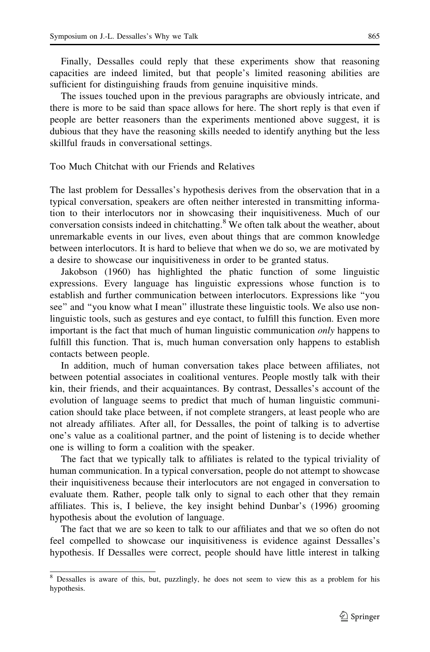Finally, Dessalles could reply that these experiments show that reasoning capacities are indeed limited, but that people's limited reasoning abilities are sufficient for distinguishing frauds from genuine inquisitive minds.

The issues touched upon in the previous paragraphs are obviously intricate, and there is more to be said than space allows for here. The short reply is that even if people are better reasoners than the experiments mentioned above suggest, it is dubious that they have the reasoning skills needed to identify anything but the less skillful frauds in conversational settings.

Too Much Chitchat with our Friends and Relatives

The last problem for Dessalles's hypothesis derives from the observation that in a typical conversation, speakers are often neither interested in transmitting information to their interlocutors nor in showcasing their inquisitiveness. Much of our conversation consists indeed in chitchatting.<sup>8</sup> We often talk about the weather, about unremarkable events in our lives, even about things that are common knowledge between interlocutors. It is hard to believe that when we do so, we are motivated by a desire to showcase our inquisitiveness in order to be granted status.

Jakobson (1960) has highlighted the phatic function of some linguistic expressions. Every language has linguistic expressions whose function is to establish and further communication between interlocutors. Expressions like ''you see'' and ''you know what I mean'' illustrate these linguistic tools. We also use nonlinguistic tools, such as gestures and eye contact, to fulfill this function. Even more important is the fact that much of human linguistic communication *only* happens to fulfill this function. That is, much human conversation only happens to establish contacts between people.

In addition, much of human conversation takes place between affiliates, not between potential associates in coalitional ventures. People mostly talk with their kin, their friends, and their acquaintances. By contrast, Dessalles's account of the evolution of language seems to predict that much of human linguistic communication should take place between, if not complete strangers, at least people who are not already affiliates. After all, for Dessalles, the point of talking is to advertise one's value as a coalitional partner, and the point of listening is to decide whether one is willing to form a coalition with the speaker.

The fact that we typically talk to affiliates is related to the typical triviality of human communication. In a typical conversation, people do not attempt to showcase their inquisitiveness because their interlocutors are not engaged in conversation to evaluate them. Rather, people talk only to signal to each other that they remain affiliates. This is, I believe, the key insight behind Dunbar's (1996) grooming hypothesis about the evolution of language.

The fact that we are so keen to talk to our affiliates and that we so often do not feel compelled to showcase our inquisitiveness is evidence against Dessalles's hypothesis. If Dessalles were correct, people should have little interest in talking

 $8$  Dessalles is aware of this, but, puzzlingly, he does not seem to view this as a problem for his hypothesis.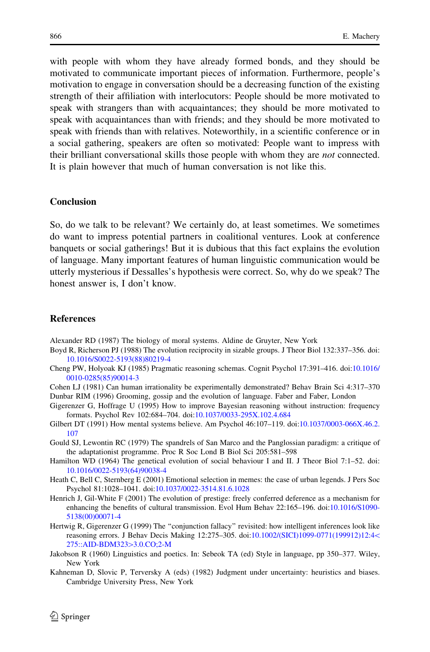with people with whom they have already formed bonds, and they should be motivated to communicate important pieces of information. Furthermore, people's motivation to engage in conversation should be a decreasing function of the existing strength of their affiliation with interlocutors: People should be more motivated to speak with strangers than with acquaintances; they should be more motivated to speak with acquaintances than with friends; and they should be more motivated to speak with friends than with relatives. Noteworthily, in a scientific conference or in a social gathering, speakers are often so motivated: People want to impress with their brilliant conversational skills those people with whom they are not connected. It is plain however that much of human conversation is not like this.

#### Conclusion

So, do we talk to be relevant? We certainly do, at least sometimes. We sometimes do want to impress potential partners in coalitional ventures. Look at conference banquets or social gatherings! But it is dubious that this fact explains the evolution of language. Many important features of human linguistic communication would be utterly mysterious if Dessalles's hypothesis were correct. So, why do we speak? The honest answer is, I don't know.

#### References

Alexander RD (1987) The biology of moral systems. Aldine de Gruyter, New York

- Boyd R, Richerson PJ (1988) The evolution reciprocity in sizable groups. J Theor Biol 132:337–356. doi: [10.1016/S0022-5193\(88\)80219-4](http://dx.doi.org/10.1016/S0022-5193(88)80219-4)
- Cheng PW, Holyoak KJ (1985) Pragmatic reasoning schemas. Cognit Psychol 17:391–416. doi[:10.1016/](http://dx.doi.org/10.1016/0010-0285(85)90014-3) [0010-0285\(85\)90014-3](http://dx.doi.org/10.1016/0010-0285(85)90014-3)
- Cohen LJ (1981) Can human irrationality be experimentally demonstrated? Behav Brain Sci 4:317–370 Dunbar RIM (1996) Grooming, gossip and the evolution of language. Faber and Faber, London
- Gigerenzer G, Hoffrage U (1995) How to improve Bayesian reasoning without instruction: frequency formats. Psychol Rev 102:684–704. doi[:10.1037/0033-295X.102.4.684](http://dx.doi.org/10.1037/0033-295X.102.4.684)
- Gilbert DT (1991) How mental systems believe. Am Psychol 46:107–119. doi[:10.1037/0003-066X.46.2.](http://dx.doi.org/10.1037/0003-066X.46.2.107) [107](http://dx.doi.org/10.1037/0003-066X.46.2.107)
- Gould SJ, Lewontin RC (1979) The spandrels of San Marco and the Panglossian paradigm: a critique of the adaptationist programme. Proc R Soc Lond B Biol Sci 205:581–598
- Hamilton WD (1964) The genetical evolution of social behaviour I and II. J Theor Biol 7:1–52. doi: [10.1016/0022-5193\(64\)90038-4](http://dx.doi.org/10.1016/0022-5193(64)90038-4)
- Heath C, Bell C, Sternberg E (2001) Emotional selection in memes: the case of urban legends. J Pers Soc Psychol 81:1028–1041. doi:[10.1037/0022-3514.81.6.1028](http://dx.doi.org/10.1037/0022-3514.81.6.1028)
- Henrich J, Gil-White F (2001) The evolution of prestige: freely conferred deference as a mechanism for enhancing the benefits of cultural transmission. Evol Hum Behav 22:165–196. doi[:10.1016/S1090-](http://dx.doi.org/10.1016/S1090-5138(00)00071-4) [5138\(00\)00071-4](http://dx.doi.org/10.1016/S1090-5138(00)00071-4)
- Hertwig R, Gigerenzer G (1999) The ''conjunction fallacy'' revisited: how intelligent inferences look like reasoning errors. J Behav Decis Making 12:275–305. doi[:10.1002/\(SICI\)1099-0771\(199912\)12:4](http://dx.doi.org/10.1002/(SICI)1099-0771(199912)12:4%3c275::AID-BDM323%3e3.0.CO;2-M)\ [275::AID-BDM323](http://dx.doi.org/10.1002/(SICI)1099-0771(199912)12:4%3c275::AID-BDM323%3e3.0.CO;2-M)>3.0.CO;2-M
- Jakobson R (1960) Linguistics and poetics. In: Sebeok TA (ed) Style in language, pp 350–377. Wiley, New York
- Kahneman D, Slovic P, Terversky A (eds) (1982) Judgment under uncertainty: heuristics and biases. Cambridge University Press, New York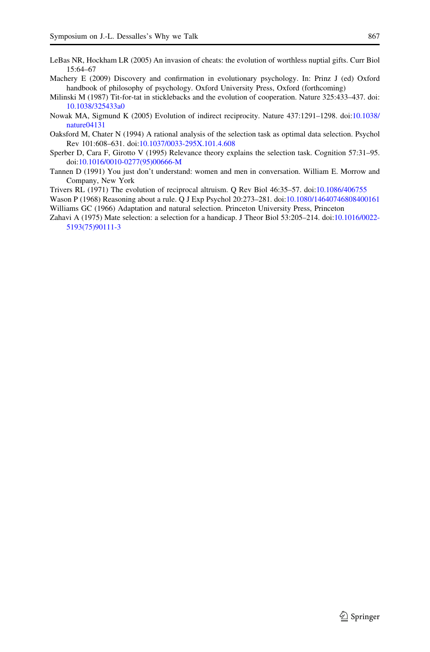- LeBas NR, Hockham LR (2005) An invasion of cheats: the evolution of worthless nuptial gifts. Curr Biol 15:64–67
- Machery E (2009) Discovery and confirmation in evolutionary psychology. In: Prinz J (ed) Oxford handbook of philosophy of psychology. Oxford University Press, Oxford (forthcoming)
- Milinski M (1987) Tit-for-tat in sticklebacks and the evolution of cooperation. Nature 325:433–437. doi: [10.1038/325433a0](http://dx.doi.org/10.1038/325433a0)
- Nowak MA, Sigmund K (2005) Evolution of indirect reciprocity. Nature 437:1291–1298. doi[:10.1038/](http://dx.doi.org/10.1038/nature04131) [nature04131](http://dx.doi.org/10.1038/nature04131)
- Oaksford M, Chater N (1994) A rational analysis of the selection task as optimal data selection. Psychol Rev 101:608–631. doi:[10.1037/0033-295X.101.4.608](http://dx.doi.org/10.1037/0033-295X.101.4.608)
- Sperber D, Cara F, Girotto V (1995) Relevance theory explains the selection task. Cognition 57:31–95. doi[:10.1016/0010-0277\(95\)00666-M](http://dx.doi.org/10.1016/0010-0277(95)00666-M)
- Tannen D (1991) You just don't understand: women and men in conversation. William E. Morrow and Company, New York

Trivers RL (1971) The evolution of reciprocal altruism. Q Rev Biol 46:35–57. doi[:10.1086/406755](http://dx.doi.org/10.1086/406755)

- Wason P (1968) Reasoning about a rule. Q J Exp Psychol 20:273–281. doi:[10.1080/14640746808400161](http://dx.doi.org/10.1080/14640746808400161) Williams GC (1966) Adaptation and natural selection. Princeton University Press, Princeton
- Zahavi A (1975) Mate selection: a selection for a handicap. J Theor Biol 53:205–214. doi:[10.1016/0022-](http://dx.doi.org/10.1016/0022-5193(75)90111-3) [5193\(75\)90111-3](http://dx.doi.org/10.1016/0022-5193(75)90111-3)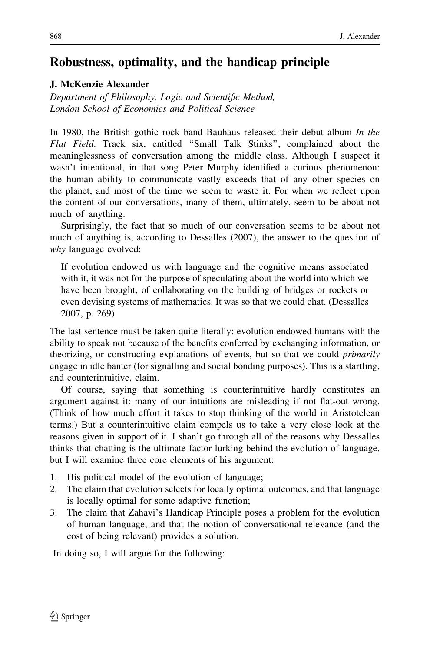# Robustness, optimality, and the handicap principle

# J. McKenzie Alexander

Department of Philosophy, Logic and Scientific Method, London School of Economics and Political Science

In 1980, the British gothic rock band Bauhaus released their debut album In the Flat Field. Track six, entitled ''Small Talk Stinks'', complained about the meaninglessness of conversation among the middle class. Although I suspect it wasn't intentional, in that song Peter Murphy identified a curious phenomenon: the human ability to communicate vastly exceeds that of any other species on the planet, and most of the time we seem to waste it. For when we reflect upon the content of our conversations, many of them, ultimately, seem to be about not much of anything.

Surprisingly, the fact that so much of our conversation seems to be about not much of anything is, according to Dessalles (2007), the answer to the question of why language evolved:

If evolution endowed us with language and the cognitive means associated with it, it was not for the purpose of speculating about the world into which we have been brought, of collaborating on the building of bridges or rockets or even devising systems of mathematics. It was so that we could chat. (Dessalles 2007, p. 269)

The last sentence must be taken quite literally: evolution endowed humans with the ability to speak not because of the benefits conferred by exchanging information, or theorizing, or constructing explanations of events, but so that we could primarily engage in idle banter (for signalling and social bonding purposes). This is a startling, and counterintuitive, claim.

Of course, saying that something is counterintuitive hardly constitutes an argument against it: many of our intuitions are misleading if not flat-out wrong. (Think of how much effort it takes to stop thinking of the world in Aristotelean terms.) But a counterintuitive claim compels us to take a very close look at the reasons given in support of it. I shan't go through all of the reasons why Dessalles thinks that chatting is the ultimate factor lurking behind the evolution of language, but I will examine three core elements of his argument:

- 1. His political model of the evolution of language;
- 2. The claim that evolution selects for locally optimal outcomes, and that language is locally optimal for some adaptive function;
- 3. The claim that Zahavi's Handicap Principle poses a problem for the evolution of human language, and that the notion of conversational relevance (and the cost of being relevant) provides a solution.

In doing so, I will argue for the following: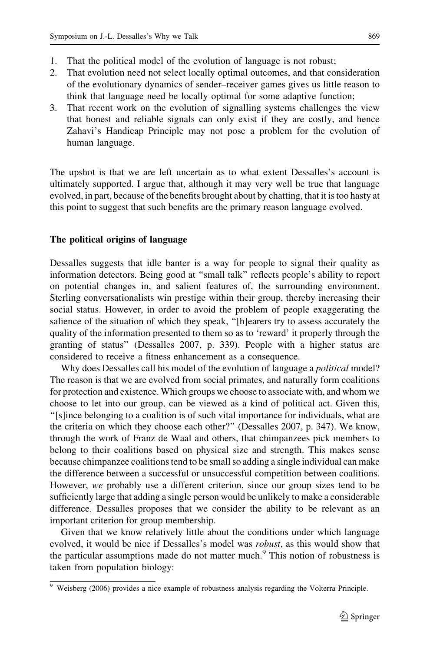- 1. That the political model of the evolution of language is not robust;
- 2. That evolution need not select locally optimal outcomes, and that consideration of the evolutionary dynamics of sender–receiver games gives us little reason to think that language need be locally optimal for some adaptive function;
- 3. That recent work on the evolution of signalling systems challenges the view that honest and reliable signals can only exist if they are costly, and hence Zahavi's Handicap Principle may not pose a problem for the evolution of human language.

The upshot is that we are left uncertain as to what extent Dessalles's account is ultimately supported. I argue that, although it may very well be true that language evolved, in part, because of the benefits brought about by chatting, that it is too hasty at this point to suggest that such benefits are the primary reason language evolved.

#### The political origins of language

Dessalles suggests that idle banter is a way for people to signal their quality as information detectors. Being good at ''small talk'' reflects people's ability to report on potential changes in, and salient features of, the surrounding environment. Sterling conversationalists win prestige within their group, thereby increasing their social status. However, in order to avoid the problem of people exaggerating the salience of the situation of which they speak, ''[h]earers try to assess accurately the quality of the information presented to them so as to 'reward' it properly through the granting of status'' (Dessalles 2007, p. 339). People with a higher status are considered to receive a fitness enhancement as a consequence.

Why does Dessalles call his model of the evolution of language a *political* model? The reason is that we are evolved from social primates, and naturally form coalitions for protection and existence. Which groups we choose to associate with, and whom we choose to let into our group, can be viewed as a kind of political act. Given this, ''[s]ince belonging to a coalition is of such vital importance for individuals, what are the criteria on which they choose each other?'' (Dessalles 2007, p. 347). We know, through the work of Franz de Waal and others, that chimpanzees pick members to belong to their coalitions based on physical size and strength. This makes sense because chimpanzee coalitions tend to be small so adding a single individual can make the difference between a successful or unsuccessful competition between coalitions. However, we probably use a different criterion, since our group sizes tend to be sufficiently large that adding a single person would be unlikely to make a considerable difference. Dessalles proposes that we consider the ability to be relevant as an important criterion for group membership.

Given that we know relatively little about the conditions under which language evolved, it would be nice if Dessalles's model was *robust*, as this would show that the particular assumptions made do not matter much.<sup>9</sup> This notion of robustness is taken from population biology:

<sup>&</sup>lt;sup>9</sup> Weisberg (2006) provides a nice example of robustness analysis regarding the Volterra Principle.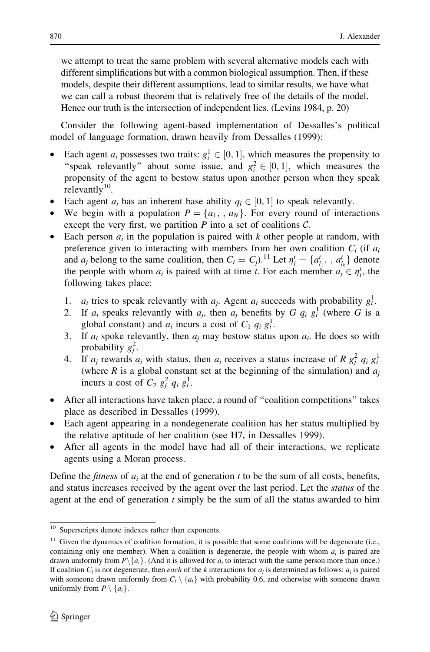we attempt to treat the same problem with several alternative models each with different simplifications but with a common biological assumption. Then, if these models, despite their different assumptions, lead to similar results, we have what we can call a robust theorem that is relatively free of the details of the model. Hence our truth is the intersection of independent lies. (Levins 1984, p. 20)

Consider the following agent-based implementation of Dessalles's political model of language formation, drawn heavily from Dessalles (1999):

- Each agent  $a_i$  possesses two traits:  $g_i^1 \in [0, 1]$ , which measures the propensity to "speak relevantly" about some issue, and  $g_i^2 \in [0,1]$ , which measures the propensity of the agent to bestow status upon another person when they speak relevantly $10$ .
- Each agent  $a_i$  has an inherent base ability  $q_i \in [0, 1]$  to speak relevantly.
- We begin with a population  $P = \{a_1, a_N\}$ . For every round of interactions except the very first, we partition  $P$  into a set of coalitions  $C$ .
- Each person  $a_i$  in the population is paired with k other people at random, with preference given to interacting with members from her own coalition  $C_i$  (if  $a_i$ ) and  $a_j$  belong to the same coalition, then  $C_i = C_j$ .<sup>11</sup> Let  $\eta_i^t = \{a_{i_1}^t, a_{i_k}^t\}$  denote the people with whom  $a_i$  is paired with at time t. For each member  $a_j \in \eta_i^t$ , the following takes place:
	- 1.  $a_i$  tries to speak relevantly with  $a_j$ . Agent  $a_i$  succeeds with probability  $g_i^1$ .
	- 2. If  $a_i$  speaks relevantly with  $a_j$ , then  $a_j$  benefits by  $G$   $q_i$   $g_i^1$  (where  $G$  is a global constant) and  $a_i$  incurs a cost of  $C_1$   $q_i$   $g_i^1$ .
	- 3. If  $a_i$  spoke relevantly, then  $a_i$  may bestow status upon  $a_i$ . He does so with probability  $g_j^2$ .
	- 4. If  $a_j$  rewards  $a_i$  with status, then  $a_i$  receives a status increase of R  $g_j^2$   $q_i$   $g_i^1$ (where  $R$  is a global constant set at the beginning of the simulation) and  $a_i$ incurs a cost of  $C_2$   $g_j^2$   $q_i$   $g_i^1$ .
- After all interactions have taken place, a round of ''coalition competitions'' takes place as described in Dessalles (1999).
- Each agent appearing in a nondegenerate coalition has her status multiplied by the relative aptitude of her coalition (see H7, in Dessalles 1999).
- After all agents in the model have had all of their interactions, we replicate agents using a Moran process.

Define the *fitness* of  $a_i$  at the end of generation t to be the sum of all costs, benefits, and status increases received by the agent over the last period. Let the status of the agent at the end of generation  $t$  simply be the sum of all the status awarded to him

<sup>10</sup> Superscripts denote indexes rather than exponents.

 $11$  Given the dynamics of coalition formation, it is possible that some coalitions will be degenerate (i.e., containing only one member). When a coalition is degenerate, the people with whom  $a_i$  is paired are drawn uniformly from  $P\setminus\{a_i\}$ . (And it is allowed for  $a_i$  to interact with the same person more than once.) If coalition  $C_i$  is not degenerate, then *each* of the k interactions for  $a_i$  is determined as follows:  $a_i$  is paired with someone drawn uniformly from  $C_i \setminus \{a_i\}$  with probability 0.6, and otherwise with someone drawn uniformly from  $P \setminus \{a_i\}.$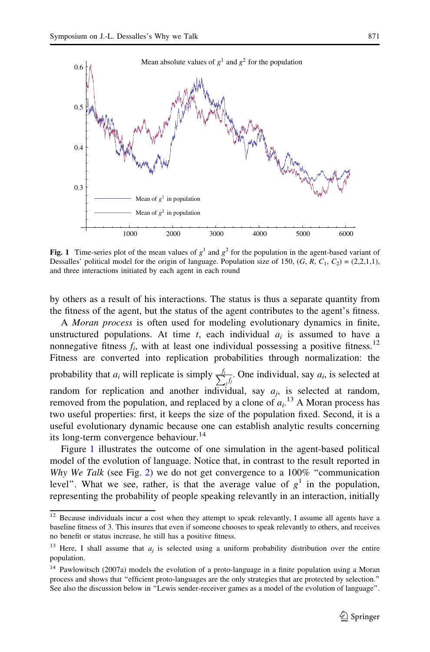

Fig. 1 Time-series plot of the mean values of  $g<sup>1</sup>$  and  $g<sup>2</sup>$  for the population in the agent-based variant of Dessalles' political model for the origin of language. Population size of 150,  $(G, R, C_1, C_2) = (2,2,1,1)$ , and three interactions initiated by each agent in each round

by others as a result of his interactions. The status is thus a separate quantity from the fitness of the agent, but the status of the agent contributes to the agent's fitness.

A Moran process is often used for modeling evolutionary dynamics in finite, unstructured populations. At time  $t$ , each individual  $a_i$  is assumed to have a nonnegative fitness  $f_i$ , with at least one individual possessing a positive fitness.<sup>12</sup> Fitness are converted into replication probabilities through normalization: the probability that  $a_i$  will replicate is simply  $\frac{f_i}{\sum_i f_j}$ . One individual, say  $a_i$ , is selected at random for replication and another individual, say  $a_j$ , is selected at random, removed from the population, and replaced by a clone of  $a_i$ .<sup>13</sup> A Moran process has two useful properties: first, it keeps the size of the population fixed. Second, it is a useful evolutionary dynamic because one can establish analytic results concerning its long-term convergence behaviour.<sup>14</sup>

Figure 1 illustrates the outcome of one simulation in the agent-based political model of the evolution of language. Notice that, in contrast to the result reported in Why We Talk (see Fig. [2](#page-21-0)) we do not get convergence to a 100% "communication level". What we see, rather, is that the average value of  $g<sup>1</sup>$  in the population, representing the probability of people speaking relevantly in an interaction, initially

<sup>12</sup> Because individuals incur a cost when they attempt to speak relevantly, I assume all agents have a baseline fitness of 3. This insures that even if someone chooses to speak relevantly to others, and receives no benefit or status increase, he still has a positive fitness.

<sup>&</sup>lt;sup>13</sup> Here, I shall assume that  $a_i$  is selected using a uniform probability distribution over the entire population.

<sup>&</sup>lt;sup>14</sup> Pawlowitsch (2007a) models the evolution of a proto-language in a finite population using a Moran process and shows that ''efficient proto-languages are the only strategies that are protected by selection.'' See also the discussion below in ''Lewis sender-receiver games as a model of the evolution of language''.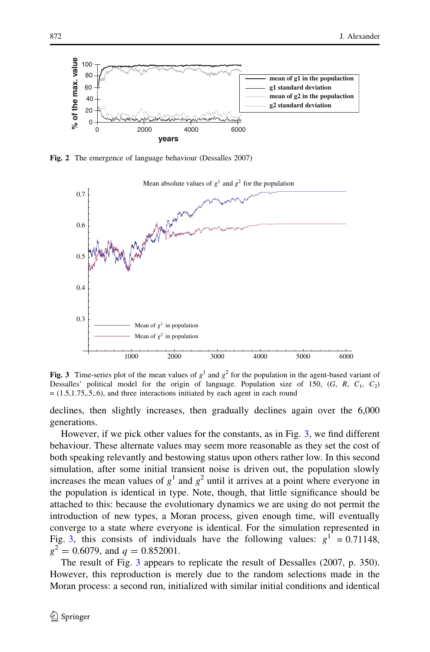<span id="page-21-0"></span>

Fig. 2 The emergence of language behaviour (Dessalles 2007)



Fig. 3 Time-series plot of the mean values of  $g<sup>1</sup>$  and  $g<sup>2</sup>$  for the population in the agent-based variant of Dessalles' political model for the origin of language. Population size of 150,  $(G, R, C_1, C_2)$  $= (1.5, 1.75, 0.5, 0)$ , and three interactions initiated by each agent in each round

declines, then slightly increases, then gradually declines again over the 6,000 generations.

However, if we pick other values for the constants, as in Fig. 3, we find different behaviour. These alternate values may seem more reasonable as they set the cost of both speaking relevantly and bestowing status upon others rather low. In this second simulation, after some initial transient noise is driven out, the population slowly increases the mean values of  $g^1$  and  $g^2$  until it arrives at a point where everyone in the population is identical in type. Note, though, that little significance should be attached to this: because the evolutionary dynamics we are using do not permit the introduction of new types, a Moran process, given enough time, will eventually converge to a state where everyone is identical. For the simulation represented in Fig. 3, this consists of individuals have the following values:  $g^1 = 0.71148$ ,  $g^2 = 0.6079$ , and  $q = 0.852001$ .

The result of Fig. 3 appears to replicate the result of Dessalles (2007, p. 350). However, this reproduction is merely due to the random selections made in the Moran process: a second run, initialized with similar initial conditions and identical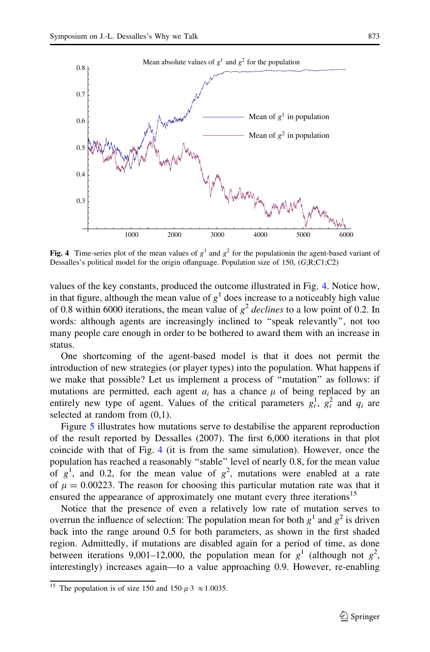

Fig. 4 Time-series plot of the mean values of  $g<sup>1</sup>$  and  $g<sup>2</sup>$  for the populationin the agent-based variant of Dessalles's political model for the origin of anguage. Population size of 150,  $(G;R;C1;C2)$ 

values of the key constants, produced the outcome illustrated in Fig. 4. Notice how, in that figure, although the mean value of  $g<sup>1</sup>$  does increase to a noticeably high value of 0.8 within 6000 iterations, the mean value of  $g^2$  declines to a low point of 0.2. In words: although agents are increasingly inclined to ''speak relevantly'', not too many people care enough in order to be bothered to award them with an increase in status.

One shortcoming of the agent-based model is that it does not permit the introduction of new strategies (or player types) into the population. What happens if we make that possible? Let us implement a process of ''mutation'' as follows: if mutations are permitted, each agent  $a_i$  has a chance  $\mu$  of being replaced by an entirely new type of agent. Values of the critical parameters  $g_i^1$ ,  $g_i^2$  and  $q_i$  are selected at random from  $(0,1)$ .

Figure 5 illustrates how mutations serve to destabilise the apparent reproduction of the result reported by Dessalles (2007). The first 6,000 iterations in that plot coincide with that of Fig. [4](#page-21-0) (it is from the same simulation). However, once the population has reached a reasonably ''stable'' level of nearly 0.8, for the mean value of  $g^1$ , and 0.2, for the mean value of  $g^2$ , mutations were enabled at a rate of  $\mu = 0.00223$ . The reason for choosing this particular mutation rate was that it ensured the appearance of approximately one mutant every three iterations<sup>15</sup>

Notice that the presence of even a relatively low rate of mutation serves to overrun the influence of selection: The population mean for both  $g<sup>1</sup>$  and  $g<sup>2</sup>$  is driven back into the range around 0.5 for both parameters, as shown in the first shaded region. Admittedly, if mutations are disabled again for a period of time, as done between iterations 9,001–12,000, the population mean for  $g<sup>1</sup>$  (although not  $g<sup>2</sup>$ , interestingly) increases again—to a value approaching 0.9. However, re-enabling

<sup>&</sup>lt;sup>15</sup> The population is of size 150 and  $150 \cdot \mu \cdot 3 \approx 1.0035$ .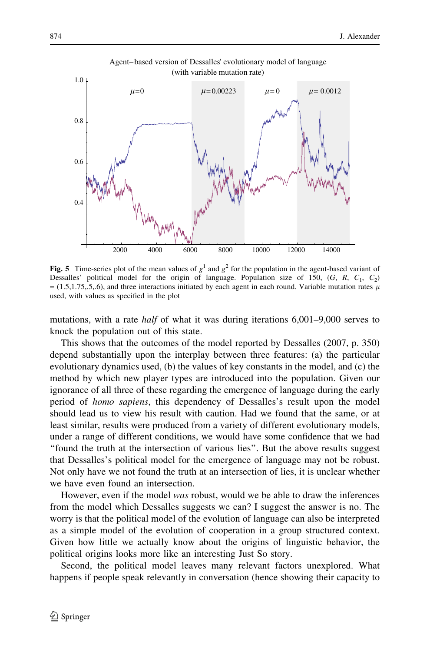

Fig. 5 Time-series plot of the mean values of  $g^1$  and  $g^2$  for the population in the agent-based variant of Dessalles' political model for the origin of language. Population size of 150,  $(G, R, C_1, C_2)$  $= (1.5, 1.75, 5, 6)$ , and three interactions initiated by each agent in each round. Variable mutation rates  $\mu$ used, with values as specified in the plot

mutations, with a rate *half* of what it was during iterations 6,001–9,000 serves to knock the population out of this state.

This shows that the outcomes of the model reported by Dessalles (2007, p. 350) depend substantially upon the interplay between three features: (a) the particular evolutionary dynamics used, (b) the values of key constants in the model, and (c) the method by which new player types are introduced into the population. Given our ignorance of all three of these regarding the emergence of language during the early period of homo sapiens, this dependency of Dessalles's result upon the model should lead us to view his result with caution. Had we found that the same, or at least similar, results were produced from a variety of different evolutionary models, under a range of different conditions, we would have some confidence that we had ''found the truth at the intersection of various lies''. But the above results suggest that Dessalles's political model for the emergence of language may not be robust. Not only have we not found the truth at an intersection of lies, it is unclear whether we have even found an intersection.

However, even if the model was robust, would we be able to draw the inferences from the model which Dessalles suggests we can? I suggest the answer is no. The worry is that the political model of the evolution of language can also be interpreted as a simple model of the evolution of cooperation in a group structured context. Given how little we actually know about the origins of linguistic behavior, the political origins looks more like an interesting Just So story.

Second, the political model leaves many relevant factors unexplored. What happens if people speak relevantly in conversation (hence showing their capacity to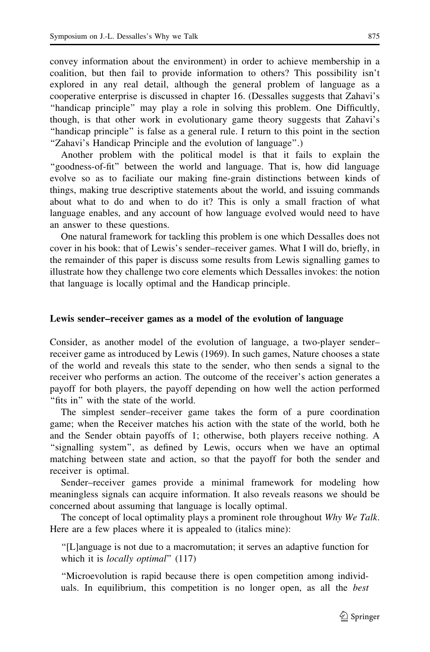convey information about the environment) in order to achieve membership in a coalition, but then fail to provide information to others? This possibility isn't explored in any real detail, although the general problem of language as a cooperative enterprise is discussed in chapter 16. (Dessalles suggests that Zahavi's "handicap principle" may play a role in solving this problem. One Difficultly,

though, is that other work in evolutionary game theory suggests that Zahavi's ''handicap principle'' is false as a general rule. I return to this point in the section "Zahavi's Handicap Principle and the evolution of language".)

Another problem with the political model is that it fails to explain the "goodness-of-fit" between the world and language. That is, how did language evolve so as to faciliate our making fine-grain distinctions between kinds of things, making true descriptive statements about the world, and issuing commands about what to do and when to do it? This is only a small fraction of what language enables, and any account of how language evolved would need to have an answer to these questions.

One natural framework for tackling this problem is one which Dessalles does not cover in his book: that of Lewis's sender–receiver games. What I will do, briefly, in the remainder of this paper is discuss some results from Lewis signalling games to illustrate how they challenge two core elements which Dessalles invokes: the notion that language is locally optimal and the Handicap principle.

#### Lewis sender–receiver games as a model of the evolution of language

Consider, as another model of the evolution of language, a two-player sender– receiver game as introduced by Lewis (1969). In such games, Nature chooses a state of the world and reveals this state to the sender, who then sends a signal to the receiver who performs an action. The outcome of the receiver's action generates a payoff for both players, the payoff depending on how well the action performed "fits in" with the state of the world.

The simplest sender–receiver game takes the form of a pure coordination game; when the Receiver matches his action with the state of the world, both he and the Sender obtain payoffs of 1; otherwise, both players receive nothing. A ''signalling system'', as defined by Lewis, occurs when we have an optimal matching between state and action, so that the payoff for both the sender and receiver is optimal.

Sender–receiver games provide a minimal framework for modeling how meaningless signals can acquire information. It also reveals reasons we should be concerned about assuming that language is locally optimal.

The concept of local optimality plays a prominent role throughout Why We Talk. Here are a few places where it is appealed to (italics mine):

''[L]anguage is not due to a macromutation; it serves an adaptive function for which it is *locally optimal*" (117)

''Microevolution is rapid because there is open competition among individuals. In equilibrium, this competition is no longer open, as all the *best*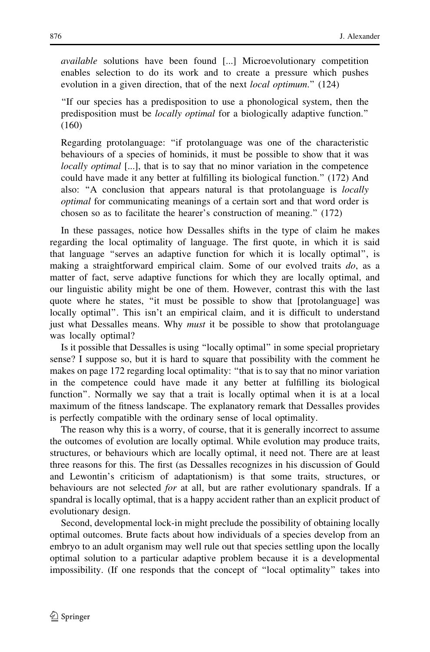available solutions have been found [...] Microevolutionary competition enables selection to do its work and to create a pressure which pushes evolution in a given direction, that of the next *local optimum*." (124)

''If our species has a predisposition to use a phonological system, then the predisposition must be locally optimal for a biologically adaptive function.'' (160)

Regarding protolanguage: ''if protolanguage was one of the characteristic behaviours of a species of hominids, it must be possible to show that it was locally optimal [...], that is to say that no minor variation in the competence could have made it any better at fulfilling its biological function.'' (172) And also: "A conclusion that appears natural is that protolanguage is *locally* optimal for communicating meanings of a certain sort and that word order is chosen so as to facilitate the hearer's construction of meaning.'' (172)

In these passages, notice how Dessalles shifts in the type of claim he makes regarding the local optimality of language. The first quote, in which it is said that language ''serves an adaptive function for which it is locally optimal'', is making a straightforward empirical claim. Some of our evolved traits do, as a matter of fact, serve adaptive functions for which they are locally optimal, and our linguistic ability might be one of them. However, contrast this with the last quote where he states, "it must be possible to show that [protolanguage] was locally optimal''. This isn't an empirical claim, and it is difficult to understand just what Dessalles means. Why *must* it be possible to show that protolanguage was locally optimal?

Is it possible that Dessalles is using ''locally optimal'' in some special proprietary sense? I suppose so, but it is hard to square that possibility with the comment he makes on page 172 regarding local optimality: ''that is to say that no minor variation in the competence could have made it any better at fulfilling its biological function''. Normally we say that a trait is locally optimal when it is at a local maximum of the fitness landscape. The explanatory remark that Dessalles provides is perfectly compatible with the ordinary sense of local optimality.

The reason why this is a worry, of course, that it is generally incorrect to assume the outcomes of evolution are locally optimal. While evolution may produce traits, structures, or behaviours which are locally optimal, it need not. There are at least three reasons for this. The first (as Dessalles recognizes in his discussion of Gould and Lewontin's criticism of adaptationism) is that some traits, structures, or behaviours are not selected for at all, but are rather evolutionary spandrals. If a spandral is locally optimal, that is a happy accident rather than an explicit product of evolutionary design.

Second, developmental lock-in might preclude the possibility of obtaining locally optimal outcomes. Brute facts about how individuals of a species develop from an embryo to an adult organism may well rule out that species settling upon the locally optimal solution to a particular adaptive problem because it is a developmental impossibility. (If one responds that the concept of ''local optimality'' takes into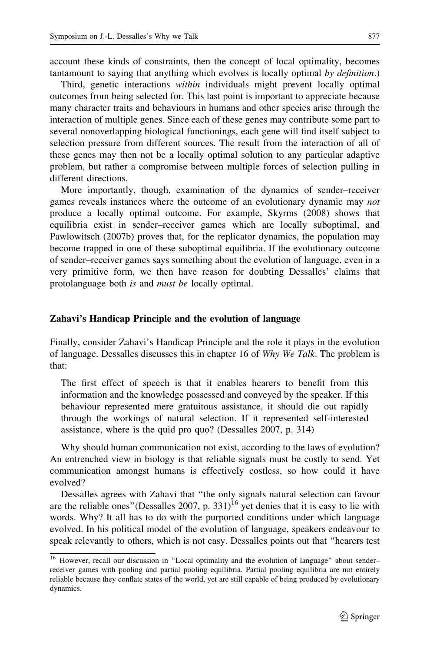Third, genetic interactions within individuals might prevent locally optimal outcomes from being selected for. This last point is important to appreciate because many character traits and behaviours in humans and other species arise through the interaction of multiple genes. Since each of these genes may contribute some part to several nonoverlapping biological functionings, each gene will find itself subject to selection pressure from different sources. The result from the interaction of all of these genes may then not be a locally optimal solution to any particular adaptive problem, but rather a compromise between multiple forces of selection pulling in different directions.

More importantly, though, examination of the dynamics of sender–receiver games reveals instances where the outcome of an evolutionary dynamic may not produce a locally optimal outcome. For example, Skyrms (2008) shows that equilibria exist in sender–receiver games which are locally suboptimal, and Pawlowitsch (2007b) proves that, for the replicator dynamics, the population may become trapped in one of these suboptimal equilibria. If the evolutionary outcome of sender–receiver games says something about the evolution of language, even in a very primitive form, we then have reason for doubting Dessalles' claims that protolanguage both is and *must be* locally optimal.

## Zahavi's Handicap Principle and the evolution of language

Finally, consider Zahavi's Handicap Principle and the role it plays in the evolution of language. Dessalles discusses this in chapter 16 of Why We Talk. The problem is that:

The first effect of speech is that it enables hearers to benefit from this information and the knowledge possessed and conveyed by the speaker. If this behaviour represented mere gratuitous assistance, it should die out rapidly through the workings of natural selection. If it represented self-interested assistance, where is the quid pro quo? (Dessalles 2007, p. 314)

Why should human communication not exist, according to the laws of evolution? An entrenched view in biology is that reliable signals must be costly to send. Yet communication amongst humans is effectively costless, so how could it have evolved?

Dessalles agrees with Zahavi that ''the only signals natural selection can favour are the reliable ones" (Dessalles 2007, p. 331)<sup>16</sup> yet denies that it is easy to lie with words. Why? It all has to do with the purported conditions under which language evolved. In his political model of the evolution of language, speakers endeavour to speak relevantly to others, which is not easy. Dessalles points out that ''hearers test

<sup>&</sup>lt;sup>16</sup> However, recall our discussion in "Local optimality and the evolution of language" about senderreceiver games with pooling and partial pooling equilibria. Partial pooling equilibria are not entirely reliable because they conflate states of the world, yet are still capable of being produced by evolutionary dynamics.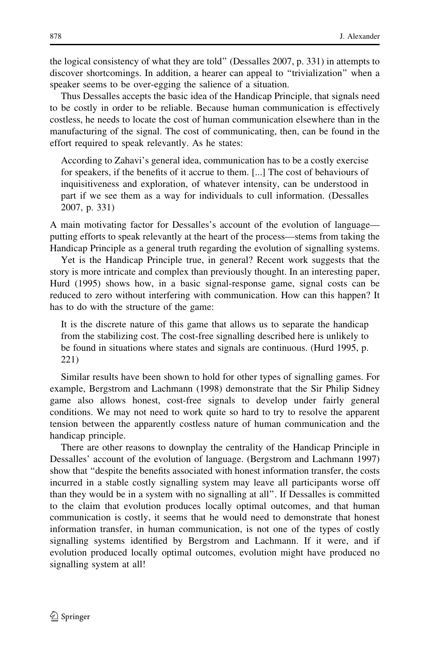the logical consistency of what they are told'' (Dessalles 2007, p. 331) in attempts to discover shortcomings. In addition, a hearer can appeal to ''trivialization'' when a speaker seems to be over-egging the salience of a situation.

Thus Dessalles accepts the basic idea of the Handicap Principle, that signals need to be costly in order to be reliable. Because human communication is effectively costless, he needs to locate the cost of human communication elsewhere than in the manufacturing of the signal. The cost of communicating, then, can be found in the effort required to speak relevantly. As he states:

According to Zahavi's general idea, communication has to be a costly exercise for speakers, if the benefits of it accrue to them. [...] The cost of behaviours of inquisitiveness and exploration, of whatever intensity, can be understood in part if we see them as a way for individuals to cull information. (Dessalles 2007, p. 331)

A main motivating factor for Dessalles's account of the evolution of language putting efforts to speak relevantly at the heart of the process—stems from taking the Handicap Principle as a general truth regarding the evolution of signalling systems.

Yet is the Handicap Principle true, in general? Recent work suggests that the story is more intricate and complex than previously thought. In an interesting paper, Hurd (1995) shows how, in a basic signal-response game, signal costs can be reduced to zero without interfering with communication. How can this happen? It has to do with the structure of the game:

It is the discrete nature of this game that allows us to separate the handicap from the stabilizing cost. The cost-free signalling described here is unlikely to be found in situations where states and signals are continuous. (Hurd 1995, p. 221)

Similar results have been shown to hold for other types of signalling games. For example, Bergstrom and Lachmann (1998) demonstrate that the Sir Philip Sidney game also allows honest, cost-free signals to develop under fairly general conditions. We may not need to work quite so hard to try to resolve the apparent tension between the apparently costless nature of human communication and the handicap principle.

There are other reasons to downplay the centrality of the Handicap Principle in Dessalles' account of the evolution of language. (Bergstrom and Lachmann 1997) show that ''despite the benefits associated with honest information transfer, the costs incurred in a stable costly signalling system may leave all participants worse off than they would be in a system with no signalling at all''. If Dessalles is committed to the claim that evolution produces locally optimal outcomes, and that human communication is costly, it seems that he would need to demonstrate that honest information transfer, in human communication, is not one of the types of costly signalling systems identified by Bergstrom and Lachmann. If it were, and if evolution produced locally optimal outcomes, evolution might have produced no signalling system at all!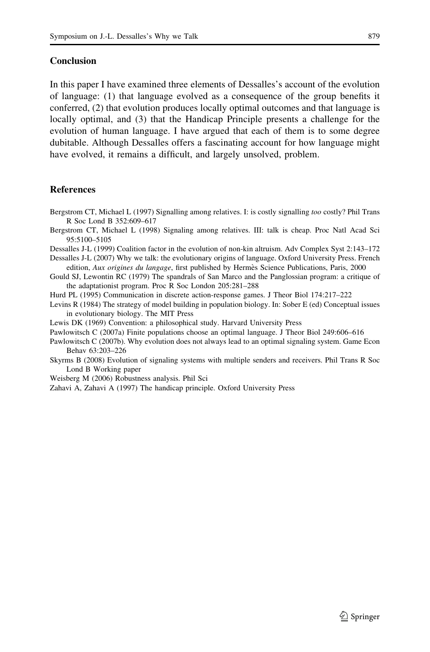#### Conclusion

In this paper I have examined three elements of Dessalles's account of the evolution of language: (1) that language evolved as a consequence of the group benefits it conferred, (2) that evolution produces locally optimal outcomes and that language is locally optimal, and (3) that the Handicap Principle presents a challenge for the evolution of human language. I have argued that each of them is to some degree dubitable. Although Dessalles offers a fascinating account for how language might have evolved, it remains a difficult, and largely unsolved, problem.

#### References

- Bergstrom CT, Michael L (1997) Signalling among relatives. I: is costly signalling too costly? Phil Trans R Soc Lond B 352:609–617
- Bergstrom CT, Michael L (1998) Signaling among relatives. III: talk is cheap. Proc Natl Acad Sci 95:5100–5105
- Dessalles J-L (1999) Coalition factor in the evolution of non-kin altruism. Adv Complex Syst 2:143–172
- Dessalles J-L (2007) Why we talk: the evolutionary origins of language. Oxford University Press. French edition, Aux origines du langage, first published by Hermès Science Publications, Paris, 2000
- Gould SJ, Lewontin RC (1979) The spandrals of San Marco and the Panglossian program: a critique of the adaptationist program. Proc R Soc London 205:281–288
- Hurd PL (1995) Communication in discrete action-response games. J Theor Biol 174:217–222
- Levins R (1984) The strategy of model building in population biology. In: Sober E (ed) Conceptual issues in evolutionary biology. The MIT Press
- Lewis DK (1969) Convention: a philosophical study. Harvard University Press
- Pawlowitsch C (2007a) Finite populations choose an optimal language. J Theor Biol 249:606–616
- Pawlowitsch C (2007b). Why evolution does not always lead to an optimal signaling system. Game Econ Behav 63:203–226
- Skyrms B (2008) Evolution of signaling systems with multiple senders and receivers. Phil Trans R Soc Lond B Working paper

Weisberg M (2006) Robustness analysis. Phil Sci

Zahavi A, Zahavi A (1997) The handicap principle. Oxford University Press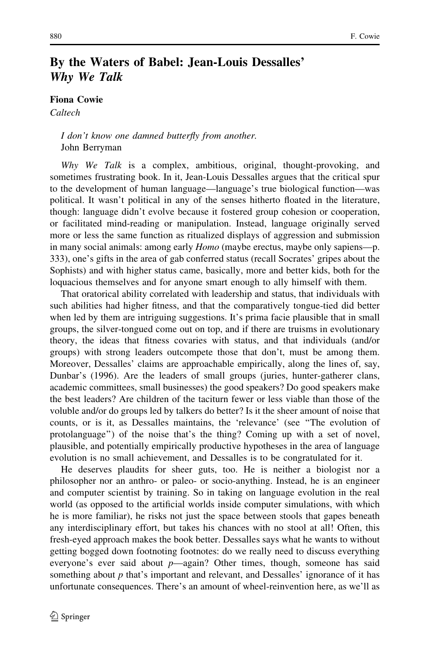# By the Waters of Babel: Jean-Louis Dessalles' Why We Talk

#### Fiona Cowie

Caltech

# I don't know one damned butterfly from another. John Berryman

Why We Talk is a complex, ambitious, original, thought-provoking, and sometimes frustrating book. In it, Jean-Louis Dessalles argues that the critical spur to the development of human language—language's true biological function—was political. It wasn't political in any of the senses hitherto floated in the literature, though: language didn't evolve because it fostered group cohesion or cooperation, or facilitated mind-reading or manipulation. Instead, language originally served more or less the same function as ritualized displays of aggression and submission in many social animals: among early *Homo* (maybe erectus, maybe only sapiens—p. 333), one's gifts in the area of gab conferred status (recall Socrates' gripes about the Sophists) and with higher status came, basically, more and better kids, both for the loquacious themselves and for anyone smart enough to ally himself with them.

That oratorical ability correlated with leadership and status, that individuals with such abilities had higher fitness, and that the comparatively tongue-tied did better when led by them are intriguing suggestions. It's prima facie plausible that in small groups, the silver-tongued come out on top, and if there are truisms in evolutionary theory, the ideas that fitness covaries with status, and that individuals (and/or groups) with strong leaders outcompete those that don't, must be among them. Moreover, Dessalles' claims are approachable empirically, along the lines of, say, Dunbar's (1996). Are the leaders of small groups (juries, hunter-gatherer clans, academic committees, small businesses) the good speakers? Do good speakers make the best leaders? Are children of the taciturn fewer or less viable than those of the voluble and/or do groups led by talkers do better? Is it the sheer amount of noise that counts, or is it, as Dessalles maintains, the 'relevance' (see ''The evolution of protolanguage'') of the noise that's the thing? Coming up with a set of novel, plausible, and potentially empirically productive hypotheses in the area of language evolution is no small achievement, and Dessalles is to be congratulated for it.

He deserves plaudits for sheer guts, too. He is neither a biologist nor a philosopher nor an anthro- or paleo- or socio-anything. Instead, he is an engineer and computer scientist by training. So in taking on language evolution in the real world (as opposed to the artificial worlds inside computer simulations, with which he is more familiar), he risks not just the space between stools that gapes beneath any interdisciplinary effort, but takes his chances with no stool at all! Often, this fresh-eyed approach makes the book better. Dessalles says what he wants to without getting bogged down footnoting footnotes: do we really need to discuss everything everyone's ever said about  $p$ —again? Other times, though, someone has said something about p that's important and relevant, and Dessalles' ignorance of it has unfortunate consequences. There's an amount of wheel-reinvention here, as we'll as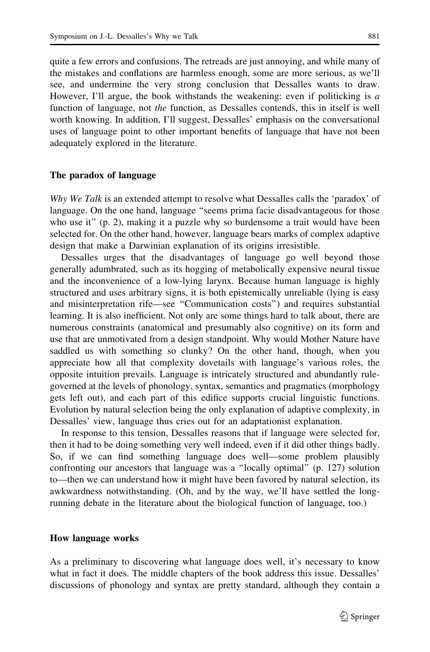quite a few errors and confusions. The retreads are just annoying, and while many of the mistakes and conflations are harmless enough, some are more serious, as we'll see, and undermine the very strong conclusion that Dessalles wants to draw. However, I'll argue, the book withstands the weakening: even if politicking is  $a$ function of language, not the function, as Dessalles contends, this in itself is well worth knowing. In addition, I'll suggest, Dessalles' emphasis on the conversational uses of language point to other important benefits of language that have not been adequately explored in the literature.

#### The paradox of language

Why We Talk is an extended attempt to resolve what Dessalles calls the 'paradox' of language. On the one hand, language ''seems prima facie disadvantageous for those who use it" (p. 2), making it a puzzle why so burdensome a trait would have been selected for. On the other hand, however, language bears marks of complex adaptive design that make a Darwinian explanation of its origins irresistible.

Dessalles urges that the disadvantages of language go well beyond those generally adumbrated, such as its hogging of metabolically expensive neural tissue and the inconvenience of a low-lying larynx. Because human language is highly structured and uses arbitrary signs, it is both epistemically unreliable (lying is easy and misinterpretation rife—see ''Communication costs'') and requires substantial learning. It is also inefficient. Not only are some things hard to talk about, there are numerous constraints (anatomical and presumably also cognitive) on its form and use that are unmotivated from a design standpoint. Why would Mother Nature have saddled us with something so clunky? On the other hand, though, when you appreciate how all that complexity dovetails with language's various roles, the opposite intuition prevails. Language is intricately structured and abundantly rulegoverned at the levels of phonology, syntax, semantics and pragmatics (morphology gets left out), and each part of this edifice supports crucial linguistic functions. Evolution by natural selection being the only explanation of adaptive complexity, in Dessalles' view, language thus cries out for an adaptationist explanation.

In response to this tension, Dessalles reasons that if language were selected for, then it had to be doing something very well indeed, even if it did other things badly. So, if we can find something language does well—some problem plausibly confronting our ancestors that language was a ''locally optimal'' (p. 127) solution to—then we can understand how it might have been favored by natural selection, its awkwardness notwithstanding. (Oh, and by the way, we'll have settled the longrunning debate in the literature about the biological function of language, too.)

#### How language works

As a preliminary to discovering what language does well, it's necessary to know what in fact it does. The middle chapters of the book address this issue. Dessalles' discussions of phonology and syntax are pretty standard, although they contain a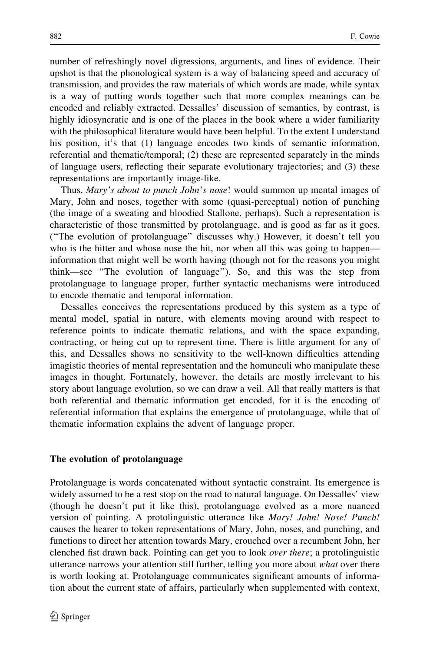number of refreshingly novel digressions, arguments, and lines of evidence. Their upshot is that the phonological system is a way of balancing speed and accuracy of transmission, and provides the raw materials of which words are made, while syntax is a way of putting words together such that more complex meanings can be encoded and reliably extracted. Dessalles' discussion of semantics, by contrast, is highly idiosyncratic and is one of the places in the book where a wider familiarity with the philosophical literature would have been helpful. To the extent I understand his position, it's that (1) language encodes two kinds of semantic information, referential and thematic/temporal; (2) these are represented separately in the minds of language users, reflecting their separate evolutionary trajectories; and (3) these representations are importantly image-like.

Thus, Mary's about to punch John's nose! would summon up mental images of Mary, John and noses, together with some (quasi-perceptual) notion of punching (the image of a sweating and bloodied Stallone, perhaps). Such a representation is characteristic of those transmitted by protolanguage, and is good as far as it goes. (''The evolution of protolanguage'' discusses why.) However, it doesn't tell you who is the hitter and whose nose the hit, nor when all this was going to happen information that might well be worth having (though not for the reasons you might think—see ''The evolution of language''). So, and this was the step from protolanguage to language proper, further syntactic mechanisms were introduced to encode thematic and temporal information.

Dessalles conceives the representations produced by this system as a type of mental model, spatial in nature, with elements moving around with respect to reference points to indicate thematic relations, and with the space expanding, contracting, or being cut up to represent time. There is little argument for any of this, and Dessalles shows no sensitivity to the well-known difficulties attending imagistic theories of mental representation and the homunculi who manipulate these images in thought. Fortunately, however, the details are mostly irrelevant to his story about language evolution, so we can draw a veil. All that really matters is that both referential and thematic information get encoded, for it is the encoding of referential information that explains the emergence of protolanguage, while that of thematic information explains the advent of language proper.

#### The evolution of protolanguage

Protolanguage is words concatenated without syntactic constraint. Its emergence is widely assumed to be a rest stop on the road to natural language. On Dessalles' view (though he doesn't put it like this), protolanguage evolved as a more nuanced version of pointing. A protolinguistic utterance like *Mary! John! Nose! Punch!* causes the hearer to token representations of Mary, John, noses, and punching, and functions to direct her attention towards Mary, crouched over a recumbent John, her clenched fist drawn back. Pointing can get you to look over there; a protolinguistic utterance narrows your attention still further, telling you more about what over there is worth looking at. Protolanguage communicates significant amounts of information about the current state of affairs, particularly when supplemented with context,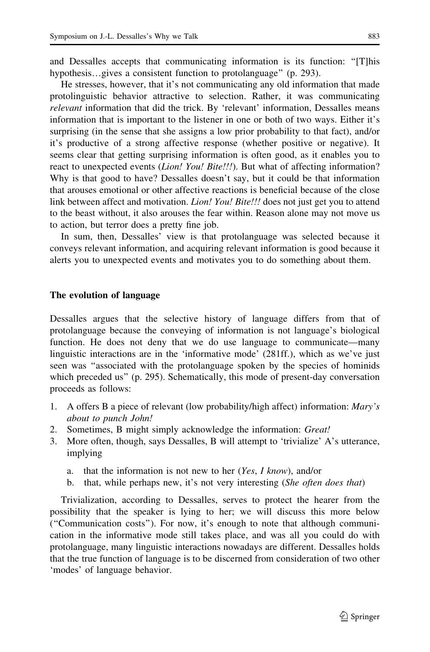and Dessalles accepts that communicating information is its function: ''[T]his hypothesis…gives a consistent function to protolanguage" (p. 293).

He stresses, however, that it's not communicating any old information that made protolinguistic behavior attractive to selection. Rather, it was communicating relevant information that did the trick. By 'relevant' information, Dessalles means information that is important to the listener in one or both of two ways. Either it's surprising (in the sense that she assigns a low prior probability to that fact), and/or it's productive of a strong affective response (whether positive or negative). It seems clear that getting surprising information is often good, as it enables you to react to unexpected events (*Lion! You! Bite!!!*). But what of affecting information? Why is that good to have? Dessalles doesn't say, but it could be that information that arouses emotional or other affective reactions is beneficial because of the close link between affect and motivation. Lion! You! Bite!!! does not just get you to attend to the beast without, it also arouses the fear within. Reason alone may not move us to action, but terror does a pretty fine job.

In sum, then, Dessalles' view is that protolanguage was selected because it conveys relevant information, and acquiring relevant information is good because it alerts you to unexpected events and motivates you to do something about them.

#### The evolution of language

Dessalles argues that the selective history of language differs from that of protolanguage because the conveying of information is not language's biological function. He does not deny that we do use language to communicate—many linguistic interactions are in the 'informative mode' (281ff.), which as we've just seen was ''associated with the protolanguage spoken by the species of hominids which preceded us'' (p. 295). Schematically, this mode of present-day conversation proceeds as follows:

- 1. A offers B a piece of relevant (low probability/high affect) information: Mary's about to punch John!
- 2. Sometimes, B might simply acknowledge the information: *Great!*
- 3. More often, though, says Dessalles, B will attempt to 'trivialize' A's utterance, implying
	- a. that the information is not new to her (Yes, I know), and/or
	- b. that, while perhaps new, it's not very interesting (She often does that)

Trivialization, according to Dessalles, serves to protect the hearer from the possibility that the speaker is lying to her; we will discuss this more below (''Communication costs''). For now, it's enough to note that although communication in the informative mode still takes place, and was all you could do with protolanguage, many linguistic interactions nowadays are different. Dessalles holds that the true function of language is to be discerned from consideration of two other 'modes' of language behavior.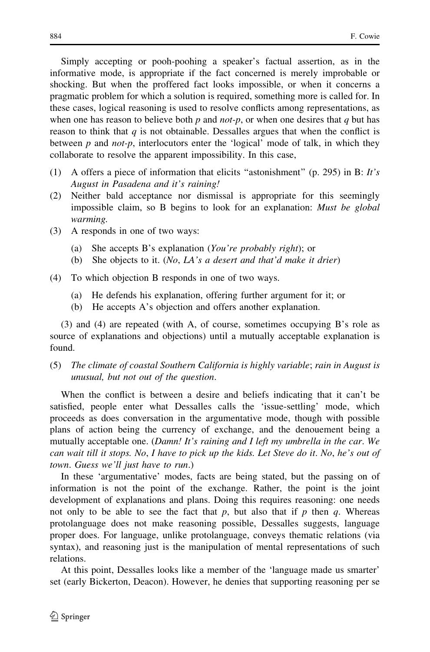Simply accepting or pooh-poohing a speaker's factual assertion, as in the informative mode, is appropriate if the fact concerned is merely improbable or shocking. But when the proffered fact looks impossible, or when it concerns a pragmatic problem for which a solution is required, something more is called for. In these cases, logical reasoning is used to resolve conflicts among representations, as when one has reason to believe both p and not-p, or when one desires that q but has reason to think that  $q$  is not obtainable. Dessalles argues that when the conflict is between  $p$  and  $not-p$ , interlocutors enter the 'logical' mode of talk, in which they collaborate to resolve the apparent impossibility. In this case,

- (1) A offers a piece of information that elicits "astonishment" (p. 295) in B:  $\mathbb{I}t's$ August in Pasadena and it's raining!
- (2) Neither bald acceptance nor dismissal is appropriate for this seemingly impossible claim, so B begins to look for an explanation: Must be global warming.
- (3) A responds in one of two ways:
	- (a) She accepts B's explanation (You're probably right); or
	- (b) She objects to it. (No,  $LA$ 's a desert and that'd make it drier)
- (4) To which objection B responds in one of two ways.
	- (a) He defends his explanation, offering further argument for it; or
	- (b) He accepts A's objection and offers another explanation.

(3) and (4) are repeated (with A, of course, sometimes occupying B's role as source of explanations and objections) until a mutually acceptable explanation is found.

# (5) The climate of coastal Southern California is highly variable; rain in August is unusual, but not out of the question.

When the conflict is between a desire and beliefs indicating that it can't be satisfied, people enter what Dessalles calls the 'issue-settling' mode, which proceeds as does conversation in the argumentative mode, though with possible plans of action being the currency of exchange, and the denouement being a mutually acceptable one. (Damn! It's raining and I left my umbrella in the car. We can wait till it stops. No, I have to pick up the kids. Let Steve do it. No, he's out of town. Guess we'll just have to run.)

In these 'argumentative' modes, facts are being stated, but the passing on of information is not the point of the exchange. Rather, the point is the joint development of explanations and plans. Doing this requires reasoning: one needs not only to be able to see the fact that p, but also that if p then q. Whereas protolanguage does not make reasoning possible, Dessalles suggests, language proper does. For language, unlike protolanguage, conveys thematic relations (via syntax), and reasoning just is the manipulation of mental representations of such relations.

At this point, Dessalles looks like a member of the 'language made us smarter' set (early Bickerton, Deacon). However, he denies that supporting reasoning per se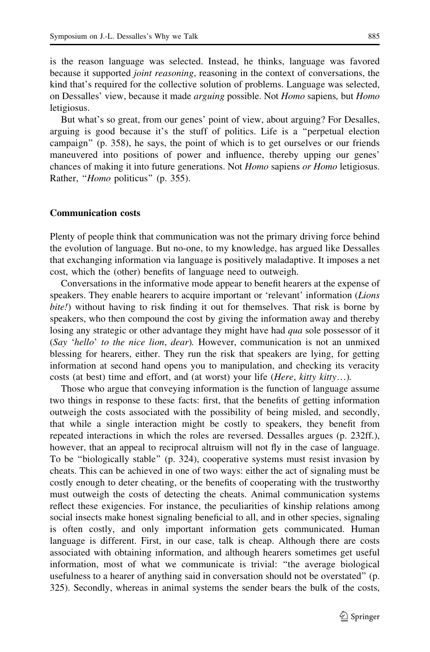is the reason language was selected. Instead, he thinks, language was favored because it supported joint reasoning, reasoning in the context of conversations, the kind that's required for the collective solution of problems. Language was selected, on Dessalles' view, because it made arguing possible. Not Homo sapiens, but Homo letigiosus.

But what's so great, from our genes' point of view, about arguing? For Desalles, arguing is good because it's the stuff of politics. Life is a ''perpetual election campaign'' (p. 358), he says, the point of which is to get ourselves or our friends maneuvered into positions of power and influence, thereby upping our genes' chances of making it into future generations. Not *Homo* sapiens or *Homo* letigiosus. Rather, "Homo politicus" (p. 355).

### Communication costs

Plenty of people think that communication was not the primary driving force behind the evolution of language. But no-one, to my knowledge, has argued like Dessalles that exchanging information via language is positively maladaptive. It imposes a net cost, which the (other) benefits of language need to outweigh.

Conversations in the informative mode appear to benefit hearers at the expense of speakers. They enable hearers to acquire important or 'relevant' information (*Lions*) bite!) without having to risk finding it out for themselves. That risk is borne by speakers, who then compound the cost by giving the information away and thereby losing any strategic or other advantage they might have had qua sole possessor of it (Say 'hello' to the nice lion, dear). However, communication is not an unmixed blessing for hearers, either. They run the risk that speakers are lying, for getting information at second hand opens you to manipulation, and checking its veracity costs (at best) time and effort, and (at worst) your life (Here, kitty kitty…).

Those who argue that conveying information is the function of language assume two things in response to these facts: first, that the benefits of getting information outweigh the costs associated with the possibility of being misled, and secondly, that while a single interaction might be costly to speakers, they benefit from repeated interactions in which the roles are reversed. Dessalles argues (p. 232ff.), however, that an appeal to reciprocal altruism will not fly in the case of language. To be ''biologically stable'' (p. 324), cooperative systems must resist invasion by cheats. This can be achieved in one of two ways: either the act of signaling must be costly enough to deter cheating, or the benefits of cooperating with the trustworthy must outweigh the costs of detecting the cheats. Animal communication systems reflect these exigencies. For instance, the peculiarities of kinship relations among social insects make honest signaling beneficial to all, and in other species, signaling is often costly, and only important information gets communicated. Human language is different. First, in our case, talk is cheap. Although there are costs associated with obtaining information, and although hearers sometimes get useful information, most of what we communicate is trivial: ''the average biological usefulness to a hearer of anything said in conversation should not be overstated'' (p. 325). Secondly, whereas in animal systems the sender bears the bulk of the costs,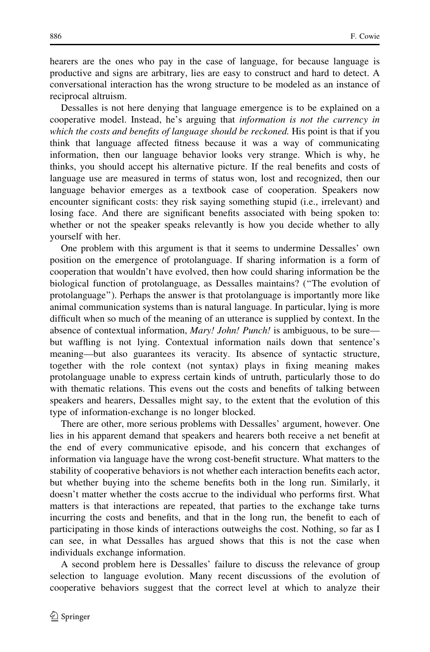hearers are the ones who pay in the case of language, for because language is productive and signs are arbitrary, lies are easy to construct and hard to detect. A conversational interaction has the wrong structure to be modeled as an instance of reciprocal altruism.

Dessalles is not here denying that language emergence is to be explained on a cooperative model. Instead, he's arguing that information is not the currency in which the costs and benefits of language should be reckoned. His point is that if you think that language affected fitness because it was a way of communicating information, then our language behavior looks very strange. Which is why, he thinks, you should accept his alternative picture. If the real benefits and costs of language use are measured in terms of status won, lost and recognized, then our language behavior emerges as a textbook case of cooperation. Speakers now encounter significant costs: they risk saying something stupid (i.e., irrelevant) and losing face. And there are significant benefits associated with being spoken to: whether or not the speaker speaks relevantly is how you decide whether to ally yourself with her.

One problem with this argument is that it seems to undermine Dessalles' own position on the emergence of protolanguage. If sharing information is a form of cooperation that wouldn't have evolved, then how could sharing information be the biological function of protolanguage, as Dessalles maintains? (''The evolution of protolanguage''). Perhaps the answer is that protolanguage is importantly more like animal communication systems than is natural language. In particular, lying is more difficult when so much of the meaning of an utterance is supplied by context. In the absence of contextual information, *Mary! John! Punch!* is ambiguous, to be sure but waffling is not lying. Contextual information nails down that sentence's meaning—but also guarantees its veracity. Its absence of syntactic structure, together with the role context (not syntax) plays in fixing meaning makes protolanguage unable to express certain kinds of untruth, particularly those to do with thematic relations. This evens out the costs and benefits of talking between speakers and hearers, Dessalles might say, to the extent that the evolution of this type of information-exchange is no longer blocked.

There are other, more serious problems with Dessalles' argument, however. One lies in his apparent demand that speakers and hearers both receive a net benefit at the end of every communicative episode, and his concern that exchanges of information via language have the wrong cost-benefit structure. What matters to the stability of cooperative behaviors is not whether each interaction benefits each actor, but whether buying into the scheme benefits both in the long run. Similarly, it doesn't matter whether the costs accrue to the individual who performs first. What matters is that interactions are repeated, that parties to the exchange take turns incurring the costs and benefits, and that in the long run, the benefit to each of participating in those kinds of interactions outweighs the cost. Nothing, so far as I can see, in what Dessalles has argued shows that this is not the case when individuals exchange information.

A second problem here is Dessalles' failure to discuss the relevance of group selection to language evolution. Many recent discussions of the evolution of cooperative behaviors suggest that the correct level at which to analyze their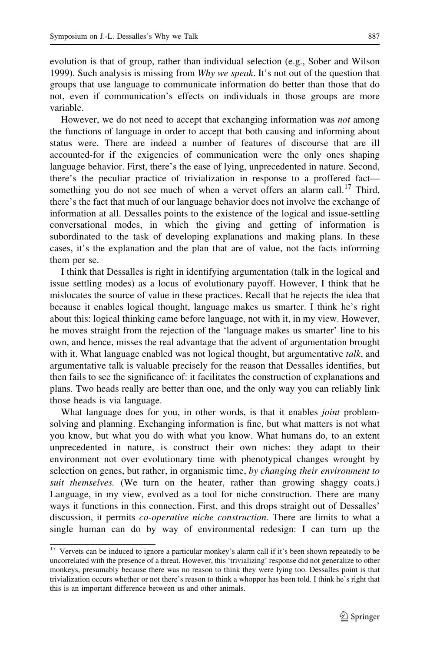evolution is that of group, rather than individual selection (e.g., Sober and Wilson 1999). Such analysis is missing from Why we speak. It's not out of the question that groups that use language to communicate information do better than those that do not, even if communication's effects on individuals in those groups are more variable.

However, we do not need to accept that exchanging information was *not* among the functions of language in order to accept that both causing and informing about status were. There are indeed a number of features of discourse that are ill accounted-for if the exigencies of communication were the only ones shaping language behavior. First, there's the ease of lying, unprecedented in nature. Second, there's the peculiar practice of trivialization in response to a proffered fact something you do not see much of when a vervet offers an alarm call.<sup>17</sup> Third, there's the fact that much of our language behavior does not involve the exchange of information at all. Dessalles points to the existence of the logical and issue-settling conversational modes, in which the giving and getting of information is subordinated to the task of developing explanations and making plans. In these cases, it's the explanation and the plan that are of value, not the facts informing them per se.

I think that Dessalles is right in identifying argumentation (talk in the logical and issue settling modes) as a locus of evolutionary payoff. However, I think that he mislocates the source of value in these practices. Recall that he rejects the idea that because it enables logical thought, language makes us smarter. I think he's right about this: logical thinking came before language, not with it, in my view. However, he moves straight from the rejection of the 'language makes us smarter' line to his own, and hence, misses the real advantage that the advent of argumentation brought with it. What language enabled was not logical thought, but argumentative talk, and argumentative talk is valuable precisely for the reason that Dessalles identifies, but then fails to see the significance of: it facilitates the construction of explanations and plans. Two heads really are better than one, and the only way you can reliably link those heads is via language.

What language does for you, in other words, is that it enables *joint* problemsolving and planning. Exchanging information is fine, but what matters is not what you know, but what you do with what you know. What humans do, to an extent unprecedented in nature, is construct their own niches: they adapt to their environment not over evolutionary time with phenotypical changes wrought by selection on genes, but rather, in organismic time, by *changing their environment to* suit themselves. (We turn on the heater, rather than growing shaggy coats.) Language, in my view, evolved as a tool for niche construction. There are many ways it functions in this connection. First, and this drops straight out of Dessalles' discussion, it permits *co-operative niche construction*. There are limits to what a single human can do by way of environmental redesign: I can turn up the

<sup>&</sup>lt;sup>17</sup> Vervets can be induced to ignore a particular monkey's alarm call if it's been shown repeatedly to be uncorrelated with the presence of a threat. However, this 'trivializing' response did not generalize to other monkeys, presumably because there was no reason to think they were lying too. Dessalles point is that trivialization occurs whether or not there's reason to think a whopper has been told. I think he's right that this is an important difference between us and other animals.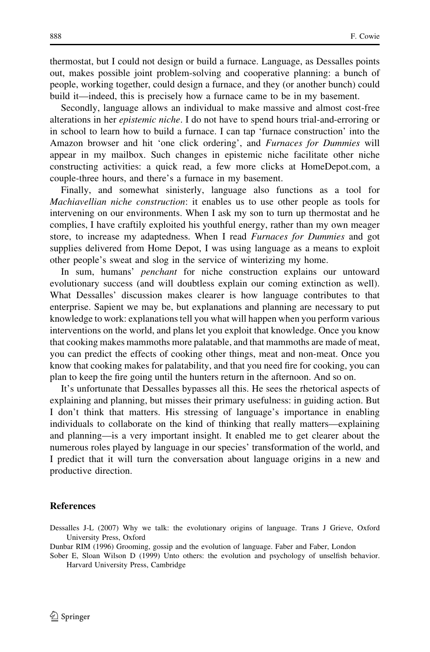thermostat, but I could not design or build a furnace. Language, as Dessalles points out, makes possible joint problem-solving and cooperative planning: a bunch of people, working together, could design a furnace, and they (or another bunch) could build it—indeed, this is precisely how a furnace came to be in my basement.

Secondly, language allows an individual to make massive and almost cost-free alterations in her epistemic niche. I do not have to spend hours trial-and-erroring or in school to learn how to build a furnace. I can tap 'furnace construction' into the Amazon browser and hit 'one click ordering', and Furnaces for Dummies will appear in my mailbox. Such changes in epistemic niche facilitate other niche constructing activities: a quick read, a few more clicks at HomeDepot.com, a couple-three hours, and there's a furnace in my basement.

Finally, and somewhat sinisterly, language also functions as a tool for Machiavellian niche construction: it enables us to use other people as tools for intervening on our environments. When I ask my son to turn up thermostat and he complies, I have craftily exploited his youthful energy, rather than my own meager store, to increase my adaptedness. When I read *Furnaces for Dummies* and got supplies delivered from Home Depot, I was using language as a means to exploit other people's sweat and slog in the service of winterizing my home.

In sum, humans' penchant for niche construction explains our untoward evolutionary success (and will doubtless explain our coming extinction as well). What Dessalles' discussion makes clearer is how language contributes to that enterprise. Sapient we may be, but explanations and planning are necessary to put knowledge to work: explanations tell you what will happen when you perform various interventions on the world, and plans let you exploit that knowledge. Once you know that cooking makes mammoths more palatable, and that mammoths are made of meat, you can predict the effects of cooking other things, meat and non-meat. Once you know that cooking makes for palatability, and that you need fire for cooking, you can plan to keep the fire going until the hunters return in the afternoon. And so on.

It's unfortunate that Dessalles bypasses all this. He sees the rhetorical aspects of explaining and planning, but misses their primary usefulness: in guiding action. But I don't think that matters. His stressing of language's importance in enabling individuals to collaborate on the kind of thinking that really matters—explaining and planning—is a very important insight. It enabled me to get clearer about the numerous roles played by language in our species' transformation of the world, and I predict that it will turn the conversation about language origins in a new and productive direction.

#### References

Dessalles J-L (2007) Why we talk: the evolutionary origins of language. Trans J Grieve, Oxford University Press, Oxford

Dunbar RIM (1996) Grooming, gossip and the evolution of language. Faber and Faber, London

Sober E, Sloan Wilson D (1999) Unto others: the evolution and psychology of unselfish behavior. Harvard University Press, Cambridge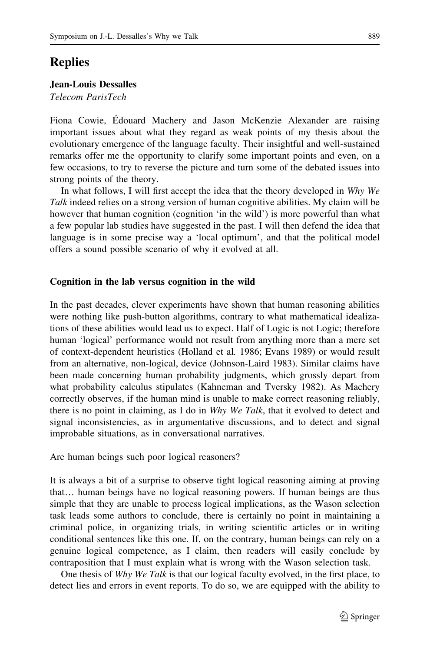# **Replies**

#### Jean-Louis Dessalles

Telecom ParisTech

Fiona Cowie, Édouard Machery and Jason McKenzie Alexander are raising important issues about what they regard as weak points of my thesis about the evolutionary emergence of the language faculty. Their insightful and well-sustained remarks offer me the opportunity to clarify some important points and even, on a few occasions, to try to reverse the picture and turn some of the debated issues into strong points of the theory.

In what follows, I will first accept the idea that the theory developed in  $Whv$  We Talk indeed relies on a strong version of human cognitive abilities. My claim will be however that human cognition (cognition 'in the wild') is more powerful than what a few popular lab studies have suggested in the past. I will then defend the idea that language is in some precise way a 'local optimum', and that the political model offers a sound possible scenario of why it evolved at all.

#### Cognition in the lab versus cognition in the wild

In the past decades, clever experiments have shown that human reasoning abilities were nothing like push-button algorithms, contrary to what mathematical idealizations of these abilities would lead us to expect. Half of Logic is not Logic; therefore human 'logical' performance would not result from anything more than a mere set of context-dependent heuristics (Holland et al. 1986; Evans 1989) or would result from an alternative, non-logical, device (Johnson-Laird 1983). Similar claims have been made concerning human probability judgments, which grossly depart from what probability calculus stipulates (Kahneman and Tversky 1982). As Machery correctly observes, if the human mind is unable to make correct reasoning reliably, there is no point in claiming, as I do in *Why We Talk*, that it evolved to detect and signal inconsistencies, as in argumentative discussions, and to detect and signal improbable situations, as in conversational narratives.

Are human beings such poor logical reasoners?

It is always a bit of a surprise to observe tight logical reasoning aiming at proving that… human beings have no logical reasoning powers. If human beings are thus simple that they are unable to process logical implications, as the Wason selection task leads some authors to conclude, there is certainly no point in maintaining a criminal police, in organizing trials, in writing scientific articles or in writing conditional sentences like this one. If, on the contrary, human beings can rely on a genuine logical competence, as I claim, then readers will easily conclude by contraposition that I must explain what is wrong with the Wason selection task.

One thesis of *Why We Talk* is that our logical faculty evolved, in the first place, to detect lies and errors in event reports. To do so, we are equipped with the ability to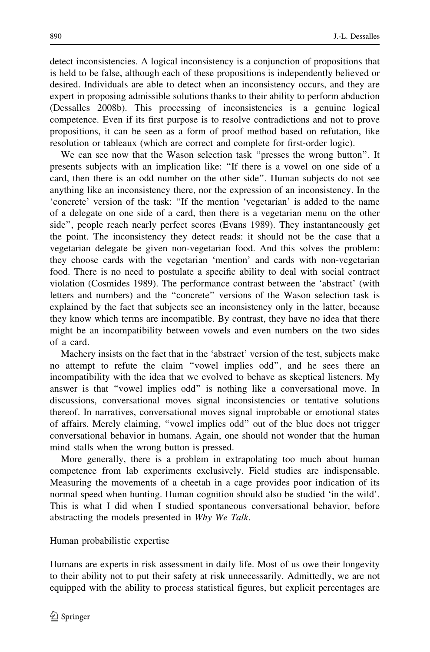detect inconsistencies. A logical inconsistency is a conjunction of propositions that is held to be false, although each of these propositions is independently believed or desired. Individuals are able to detect when an inconsistency occurs, and they are expert in proposing admissible solutions thanks to their ability to perform abduction (Dessalles 2008b). This processing of inconsistencies is a genuine logical competence. Even if its first purpose is to resolve contradictions and not to prove propositions, it can be seen as a form of proof method based on refutation, like resolution or tableaux (which are correct and complete for first-order logic).

We can see now that the Wason selection task "presses the wrong button". It presents subjects with an implication like: ''If there is a vowel on one side of a card, then there is an odd number on the other side''. Human subjects do not see anything like an inconsistency there, nor the expression of an inconsistency. In the 'concrete' version of the task: ''If the mention 'vegetarian' is added to the name of a delegate on one side of a card, then there is a vegetarian menu on the other side'', people reach nearly perfect scores (Evans 1989). They instantaneously get the point. The inconsistency they detect reads: it should not be the case that a vegetarian delegate be given non-vegetarian food. And this solves the problem: they choose cards with the vegetarian 'mention' and cards with non-vegetarian food. There is no need to postulate a specific ability to deal with social contract violation (Cosmides 1989). The performance contrast between the 'abstract' (with letters and numbers) and the ''concrete'' versions of the Wason selection task is explained by the fact that subjects see an inconsistency only in the latter, because they know which terms are incompatible. By contrast, they have no idea that there might be an incompatibility between vowels and even numbers on the two sides of a card.

Machery insists on the fact that in the 'abstract' version of the test, subjects make no attempt to refute the claim ''vowel implies odd'', and he sees there an incompatibility with the idea that we evolved to behave as skeptical listeners. My answer is that ''vowel implies odd'' is nothing like a conversational move. In discussions, conversational moves signal inconsistencies or tentative solutions thereof. In narratives, conversational moves signal improbable or emotional states of affairs. Merely claiming, ''vowel implies odd'' out of the blue does not trigger conversational behavior in humans. Again, one should not wonder that the human mind stalls when the wrong button is pressed.

More generally, there is a problem in extrapolating too much about human competence from lab experiments exclusively. Field studies are indispensable. Measuring the movements of a cheetah in a cage provides poor indication of its normal speed when hunting. Human cognition should also be studied 'in the wild'. This is what I did when I studied spontaneous conversational behavior, before abstracting the models presented in Why We Talk.

Human probabilistic expertise

Humans are experts in risk assessment in daily life. Most of us owe their longevity to their ability not to put their safety at risk unnecessarily. Admittedly, we are not equipped with the ability to process statistical figures, but explicit percentages are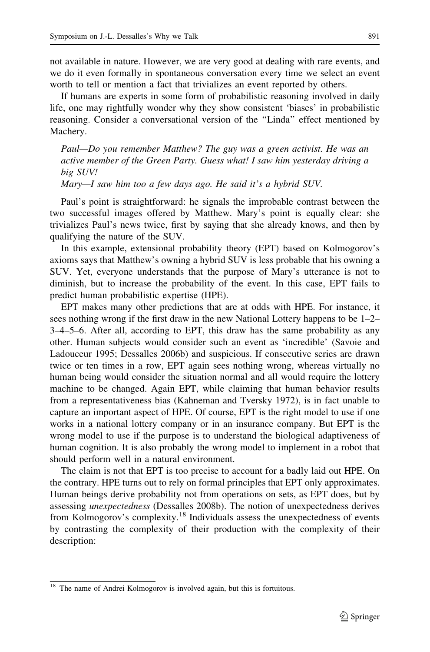not available in nature. However, we are very good at dealing with rare events, and we do it even formally in spontaneous conversation every time we select an event worth to tell or mention a fact that trivializes an event reported by others.

If humans are experts in some form of probabilistic reasoning involved in daily life, one may rightfully wonder why they show consistent 'biases' in probabilistic reasoning. Consider a conversational version of the ''Linda'' effect mentioned by Machery.

Paul—Do you remember Matthew? The guy was a green activist. He was an active member of the Green Party. Guess what! I saw him yesterday driving a big SUV!

Mary—I saw him too a few days ago. He said it's a hybrid SUV.

Paul's point is straightforward: he signals the improbable contrast between the two successful images offered by Matthew. Mary's point is equally clear: she trivializes Paul's news twice, first by saying that she already knows, and then by qualifying the nature of the SUV.

In this example, extensional probability theory (EPT) based on Kolmogorov's axioms says that Matthew's owning a hybrid SUV is less probable that his owning a SUV. Yet, everyone understands that the purpose of Mary's utterance is not to diminish, but to increase the probability of the event. In this case, EPT fails to predict human probabilistic expertise (HPE).

EPT makes many other predictions that are at odds with HPE. For instance, it sees nothing wrong if the first draw in the new National Lottery happens to be 1–2– 3–4–5–6. After all, according to EPT, this draw has the same probability as any other. Human subjects would consider such an event as 'incredible' (Savoie and Ladouceur 1995; Dessalles 2006b) and suspicious. If consecutive series are drawn twice or ten times in a row, EPT again sees nothing wrong, whereas virtually no human being would consider the situation normal and all would require the lottery machine to be changed. Again EPT, while claiming that human behavior results from a representativeness bias (Kahneman and Tversky 1972), is in fact unable to capture an important aspect of HPE. Of course, EPT is the right model to use if one works in a national lottery company or in an insurance company. But EPT is the wrong model to use if the purpose is to understand the biological adaptiveness of human cognition. It is also probably the wrong model to implement in a robot that should perform well in a natural environment.

The claim is not that EPT is too precise to account for a badly laid out HPE. On the contrary. HPE turns out to rely on formal principles that EPT only approximates. Human beings derive probability not from operations on sets, as EPT does, but by assessing unexpectedness (Dessalles 2008b). The notion of unexpectedness derives from Kolmogorov's complexity.<sup>18</sup> Individuals assess the unexpectedness of events by contrasting the complexity of their production with the complexity of their description:

<sup>&</sup>lt;sup>18</sup> The name of Andrei Kolmogorov is involved again, but this is fortuitous.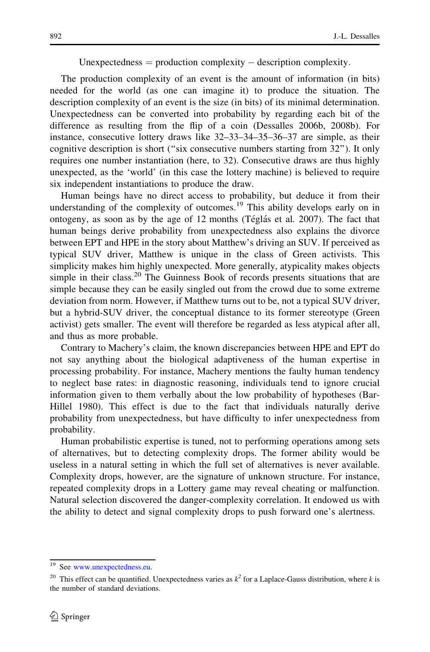$Unexpectedness = production complexity - description complexity$ .

The production complexity of an event is the amount of information (in bits) needed for the world (as one can imagine it) to produce the situation. The description complexity of an event is the size (in bits) of its minimal determination. Unexpectedness can be converted into probability by regarding each bit of the difference as resulting from the flip of a coin (Dessalles 2006b, 2008b). For instance, consecutive lottery draws like 32–33–34–35–36–37 are simple, as their cognitive description is short (''six consecutive numbers starting from 32''). It only requires one number instantiation (here, to 32). Consecutive draws are thus highly unexpected, as the 'world' (in this case the lottery machine) is believed to require six independent instantiations to produce the draw.

Human beings have no direct access to probability, but deduce it from their understanding of the complexity of outcomes.<sup>19</sup> This ability develops early on in ontogeny, as soon as by the age of  $12$  months (Téglás et al. 2007). The fact that human beings derive probability from unexpectedness also explains the divorce between EPT and HPE in the story about Matthew's driving an SUV. If perceived as typical SUV driver, Matthew is unique in the class of Green activists. This simplicity makes him highly unexpected. More generally, atypicality makes objects simple in their class.<sup>20</sup> The Guinness Book of records presents situations that are simple because they can be easily singled out from the crowd due to some extreme deviation from norm. However, if Matthew turns out to be, not a typical SUV driver, but a hybrid-SUV driver, the conceptual distance to its former stereotype (Green activist) gets smaller. The event will therefore be regarded as less atypical after all, and thus as more probable.

Contrary to Machery's claim, the known discrepancies between HPE and EPT do not say anything about the biological adaptiveness of the human expertise in processing probability. For instance, Machery mentions the faulty human tendency to neglect base rates: in diagnostic reasoning, individuals tend to ignore crucial information given to them verbally about the low probability of hypotheses (Bar-Hillel 1980). This effect is due to the fact that individuals naturally derive probability from unexpectedness, but have difficulty to infer unexpectedness from probability.

Human probabilistic expertise is tuned, not to performing operations among sets of alternatives, but to detecting complexity drops. The former ability would be useless in a natural setting in which the full set of alternatives is never available. Complexity drops, however, are the signature of unknown structure. For instance, repeated complexity drops in a Lottery game may reveal cheating or malfunction. Natural selection discovered the danger-complexity correlation. It endowed us with the ability to detect and signal complexity drops to push forward one's alertness.

<sup>19</sup> See [www.unexpectedness.eu.](http://www.unexpectedness.eu)

<sup>&</sup>lt;sup>20</sup> This effect can be quantified. Unexpectedness varies as  $k^2$  for a Laplace-Gauss distribution, where k is the number of standard deviations.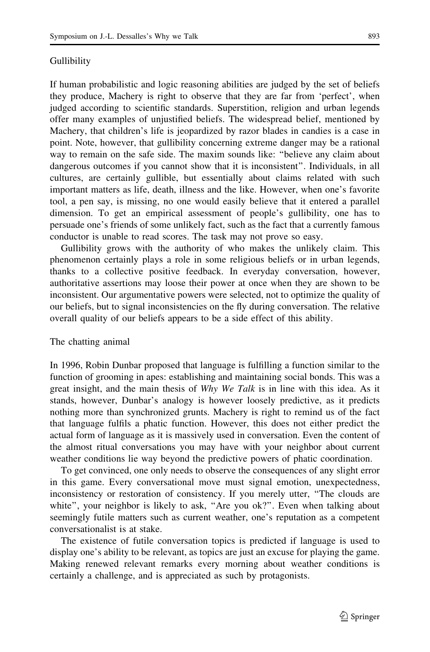### **Gullibility**

If human probabilistic and logic reasoning abilities are judged by the set of beliefs they produce, Machery is right to observe that they are far from 'perfect', when judged according to scientific standards. Superstition, religion and urban legends offer many examples of unjustified beliefs. The widespread belief, mentioned by Machery, that children's life is jeopardized by razor blades in candies is a case in point. Note, however, that gullibility concerning extreme danger may be a rational way to remain on the safe side. The maxim sounds like: ''believe any claim about dangerous outcomes if you cannot show that it is inconsistent''. Individuals, in all cultures, are certainly gullible, but essentially about claims related with such important matters as life, death, illness and the like. However, when one's favorite tool, a pen say, is missing, no one would easily believe that it entered a parallel dimension. To get an empirical assessment of people's gullibility, one has to persuade one's friends of some unlikely fact, such as the fact that a currently famous conductor is unable to read scores. The task may not prove so easy.

Gullibility grows with the authority of who makes the unlikely claim. This phenomenon certainly plays a role in some religious beliefs or in urban legends, thanks to a collective positive feedback. In everyday conversation, however, authoritative assertions may loose their power at once when they are shown to be inconsistent. Our argumentative powers were selected, not to optimize the quality of our beliefs, but to signal inconsistencies on the fly during conversation. The relative overall quality of our beliefs appears to be a side effect of this ability.

#### The chatting animal

In 1996, Robin Dunbar proposed that language is fulfilling a function similar to the function of grooming in apes: establishing and maintaining social bonds. This was a great insight, and the main thesis of Why We Talk is in line with this idea. As it stands, however, Dunbar's analogy is however loosely predictive, as it predicts nothing more than synchronized grunts. Machery is right to remind us of the fact that language fulfils a phatic function. However, this does not either predict the actual form of language as it is massively used in conversation. Even the content of the almost ritual conversations you may have with your neighbor about current weather conditions lie way beyond the predictive powers of phatic coordination.

To get convinced, one only needs to observe the consequences of any slight error in this game. Every conversational move must signal emotion, unexpectedness, inconsistency or restoration of consistency. If you merely utter, ''The clouds are white", your neighbor is likely to ask, "Are you ok?". Even when talking about seemingly futile matters such as current weather, one's reputation as a competent conversationalist is at stake.

The existence of futile conversation topics is predicted if language is used to display one's ability to be relevant, as topics are just an excuse for playing the game. Making renewed relevant remarks every morning about weather conditions is certainly a challenge, and is appreciated as such by protagonists.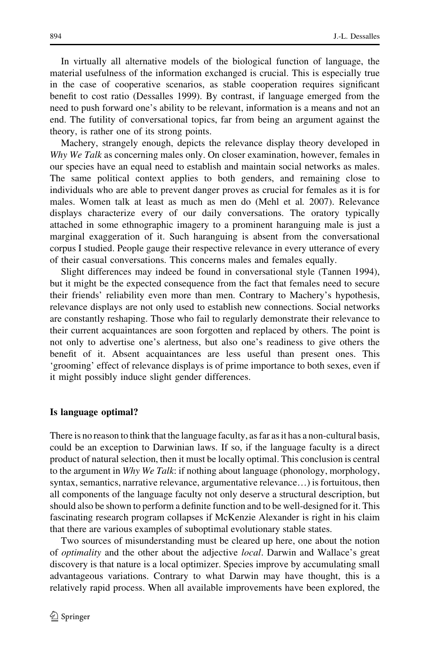In virtually all alternative models of the biological function of language, the material usefulness of the information exchanged is crucial. This is especially true in the case of cooperative scenarios, as stable cooperation requires significant benefit to cost ratio (Dessalles 1999). By contrast, if language emerged from the need to push forward one's ability to be relevant, information is a means and not an end. The futility of conversational topics, far from being an argument against the theory, is rather one of its strong points.

Machery, strangely enough, depicts the relevance display theory developed in Why We Talk as concerning males only. On closer examination, however, females in our species have an equal need to establish and maintain social networks as males. The same political context applies to both genders, and remaining close to individuals who are able to prevent danger proves as crucial for females as it is for males. Women talk at least as much as men do (Mehl et al. 2007). Relevance displays characterize every of our daily conversations. The oratory typically attached in some ethnographic imagery to a prominent haranguing male is just a marginal exaggeration of it. Such haranguing is absent from the conversational corpus I studied. People gauge their respective relevance in every utterance of every of their casual conversations. This concerns males and females equally.

Slight differences may indeed be found in conversational style (Tannen 1994), but it might be the expected consequence from the fact that females need to secure their friends' reliability even more than men. Contrary to Machery's hypothesis, relevance displays are not only used to establish new connections. Social networks are constantly reshaping. Those who fail to regularly demonstrate their relevance to their current acquaintances are soon forgotten and replaced by others. The point is not only to advertise one's alertness, but also one's readiness to give others the benefit of it. Absent acquaintances are less useful than present ones. This 'grooming' effect of relevance displays is of prime importance to both sexes, even if it might possibly induce slight gender differences.

#### Is language optimal?

There is no reason to think that the language faculty, as far as it has a non-cultural basis, could be an exception to Darwinian laws. If so, if the language faculty is a direct product of natural selection, then it must be locally optimal. This conclusion is central to the argument in Why We Talk: if nothing about language (phonology, morphology, syntax, semantics, narrative relevance, argumentative relevance…) is fortuitous, then all components of the language faculty not only deserve a structural description, but should also be shown to perform a definite function and to be well-designed for it. This fascinating research program collapses if McKenzie Alexander is right in his claim that there are various examples of suboptimal evolutionary stable states.

Two sources of misunderstanding must be cleared up here, one about the notion of *optimality* and the other about the adjective *local*. Darwin and Wallace's great discovery is that nature is a local optimizer. Species improve by accumulating small advantageous variations. Contrary to what Darwin may have thought, this is a relatively rapid process. When all available improvements have been explored, the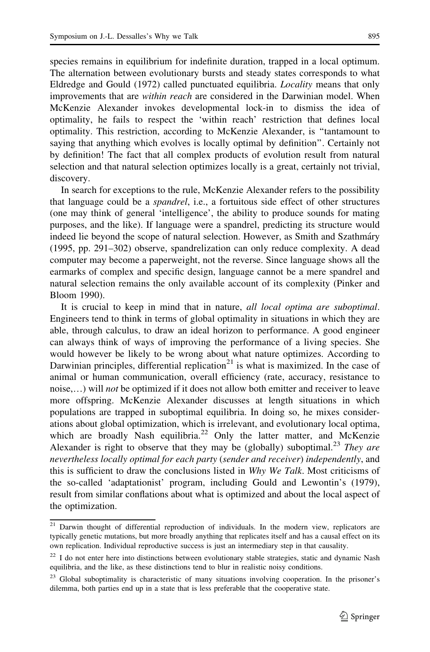species remains in equilibrium for indefinite duration, trapped in a local optimum. The alternation between evolutionary bursts and steady states corresponds to what Eldredge and Gould (1972) called punctuated equilibria. Locality means that only improvements that are within reach are considered in the Darwinian model. When McKenzie Alexander invokes developmental lock-in to dismiss the idea of optimality, he fails to respect the 'within reach' restriction that defines local optimality. This restriction, according to McKenzie Alexander, is ''tantamount to saying that anything which evolves is locally optimal by definition''. Certainly not by definition! The fact that all complex products of evolution result from natural selection and that natural selection optimizes locally is a great, certainly not trivial, discovery.

In search for exceptions to the rule, McKenzie Alexander refers to the possibility that language could be a spandrel, i.e., a fortuitous side effect of other structures (one may think of general 'intelligence', the ability to produce sounds for mating purposes, and the like). If language were a spandrel, predicting its structure would indeed lie beyond the scope of natural selection. However, as Smith and Szathma´ry (1995, pp. 291–302) observe, spandrelization can only reduce complexity. A dead computer may become a paperweight, not the reverse. Since language shows all the earmarks of complex and specific design, language cannot be a mere spandrel and natural selection remains the only available account of its complexity (Pinker and Bloom 1990).

It is crucial to keep in mind that in nature, all local optima are suboptimal. Engineers tend to think in terms of global optimality in situations in which they are able, through calculus, to draw an ideal horizon to performance. A good engineer can always think of ways of improving the performance of a living species. She would however be likely to be wrong about what nature optimizes. According to Darwinian principles, differential replication<sup>21</sup> is what is maximized. In the case of animal or human communication, overall efficiency (rate, accuracy, resistance to noise,…) will not be optimized if it does not allow both emitter and receiver to leave more offspring. McKenzie Alexander discusses at length situations in which populations are trapped in suboptimal equilibria. In doing so, he mixes considerations about global optimization, which is irrelevant, and evolutionary local optima, which are broadly Nash equilibria.<sup>22</sup> Only the latter matter, and McKenzie Alexander is right to observe that they may be (globally) suboptimal.<sup>23</sup> They are nevertheless locally optimal for each party (sender and receiver) independently, and this is sufficient to draw the conclusions listed in Why We Talk. Most criticisms of the so-called 'adaptationist' program, including Gould and Lewontin's (1979), result from similar conflations about what is optimized and about the local aspect of the optimization.

<sup>&</sup>lt;sup>21</sup> Darwin thought of differential reproduction of individuals. In the modern view, replicators are typically genetic mutations, but more broadly anything that replicates itself and has a causal effect on its own replication. Individual reproductive success is just an intermediary step in that causality.

<sup>&</sup>lt;sup>22</sup> I do not enter here into distinctions between evolutionary stable strategies, static and dynamic Nash equilibria, and the like, as these distinctions tend to blur in realistic noisy conditions.

<sup>&</sup>lt;sup>23</sup> Global suboptimality is characteristic of many situations involving cooperation. In the prisoner's dilemma, both parties end up in a state that is less preferable that the cooperative state.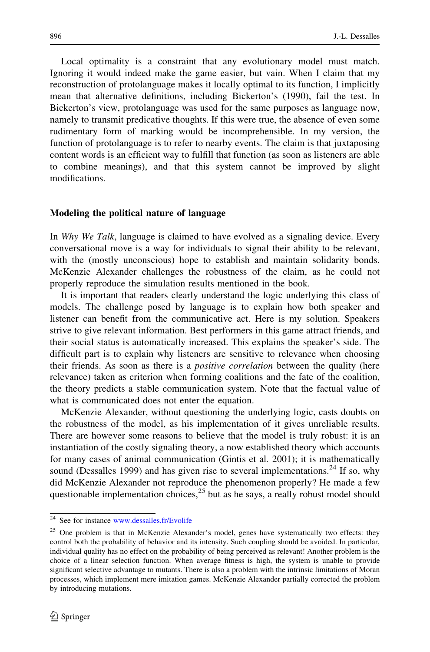Local optimality is a constraint that any evolutionary model must match. Ignoring it would indeed make the game easier, but vain. When I claim that my reconstruction of protolanguage makes it locally optimal to its function, I implicitly mean that alternative definitions, including Bickerton's (1990), fail the test. In Bickerton's view, protolanguage was used for the same purposes as language now, namely to transmit predicative thoughts. If this were true, the absence of even some rudimentary form of marking would be incomprehensible. In my version, the function of protolanguage is to refer to nearby events. The claim is that juxtaposing content words is an efficient way to fulfill that function (as soon as listeners are able to combine meanings), and that this system cannot be improved by slight modifications.

#### Modeling the political nature of language

In Why We Talk, language is claimed to have evolved as a signaling device. Every conversational move is a way for individuals to signal their ability to be relevant, with the (mostly unconscious) hope to establish and maintain solidarity bonds. McKenzie Alexander challenges the robustness of the claim, as he could not properly reproduce the simulation results mentioned in the book.

It is important that readers clearly understand the logic underlying this class of models. The challenge posed by language is to explain how both speaker and listener can benefit from the communicative act. Here is my solution. Speakers strive to give relevant information. Best performers in this game attract friends, and their social status is automatically increased. This explains the speaker's side. The difficult part is to explain why listeners are sensitive to relevance when choosing their friends. As soon as there is a *positive correlation* between the quality (here relevance) taken as criterion when forming coalitions and the fate of the coalition, the theory predicts a stable communication system. Note that the factual value of what is communicated does not enter the equation.

McKenzie Alexander, without questioning the underlying logic, casts doubts on the robustness of the model, as his implementation of it gives unreliable results. There are however some reasons to believe that the model is truly robust: it is an instantiation of the costly signaling theory, a now established theory which accounts for many cases of animal communication (Gintis et al. 2001); it is mathematically sound (Dessalles 1999) and has given rise to several implementations.<sup>24</sup> If so, why did McKenzie Alexander not reproduce the phenomenon properly? He made a few questionable implementation choices,  $2<sup>5</sup>$  but as he says, a really robust model should

<sup>24</sup> See for instance [www.dessalles.fr/Evolife](http://www.dessalles.fr/Evolife)

<sup>&</sup>lt;sup>25</sup> One problem is that in McKenzie Alexander's model, genes have systematically two effects: they control both the probability of behavior and its intensity. Such coupling should be avoided. In particular, individual quality has no effect on the probability of being perceived as relevant! Another problem is the choice of a linear selection function. When average fitness is high, the system is unable to provide significant selective advantage to mutants. There is also a problem with the intrinsic limitations of Moran processes, which implement mere imitation games. McKenzie Alexander partially corrected the problem by introducing mutations.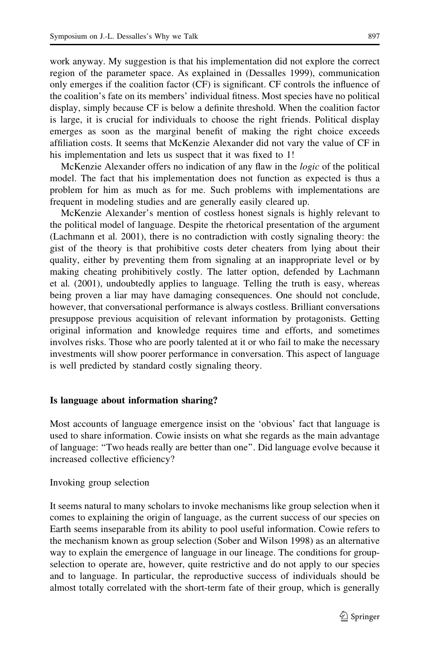work anyway. My suggestion is that his implementation did not explore the correct region of the parameter space. As explained in (Dessalles 1999), communication only emerges if the coalition factor (CF) is significant. CF controls the influence of the coalition's fate on its members' individual fitness. Most species have no political display, simply because CF is below a definite threshold. When the coalition factor is large, it is crucial for individuals to choose the right friends. Political display emerges as soon as the marginal benefit of making the right choice exceeds affiliation costs. It seems that McKenzie Alexander did not vary the value of CF in his implementation and lets us suspect that it was fixed to 1!

McKenzie Alexander offers no indication of any flaw in the logic of the political model. The fact that his implementation does not function as expected is thus a problem for him as much as for me. Such problems with implementations are frequent in modeling studies and are generally easily cleared up.

McKenzie Alexander's mention of costless honest signals is highly relevant to the political model of language. Despite the rhetorical presentation of the argument (Lachmann et al. 2001), there is no contradiction with costly signaling theory: the gist of the theory is that prohibitive costs deter cheaters from lying about their quality, either by preventing them from signaling at an inappropriate level or by making cheating prohibitively costly. The latter option, defended by Lachmann et al. (2001), undoubtedly applies to language. Telling the truth is easy, whereas being proven a liar may have damaging consequences. One should not conclude, however, that conversational performance is always costless. Brilliant conversations presuppose previous acquisition of relevant information by protagonists. Getting original information and knowledge requires time and efforts, and sometimes involves risks. Those who are poorly talented at it or who fail to make the necessary investments will show poorer performance in conversation. This aspect of language is well predicted by standard costly signaling theory.

#### Is language about information sharing?

Most accounts of language emergence insist on the 'obvious' fact that language is used to share information. Cowie insists on what she regards as the main advantage of language: ''Two heads really are better than one''. Did language evolve because it increased collective efficiency?

Invoking group selection

It seems natural to many scholars to invoke mechanisms like group selection when it comes to explaining the origin of language, as the current success of our species on Earth seems inseparable from its ability to pool useful information. Cowie refers to the mechanism known as group selection (Sober and Wilson 1998) as an alternative way to explain the emergence of language in our lineage. The conditions for groupselection to operate are, however, quite restrictive and do not apply to our species and to language. In particular, the reproductive success of individuals should be almost totally correlated with the short-term fate of their group, which is generally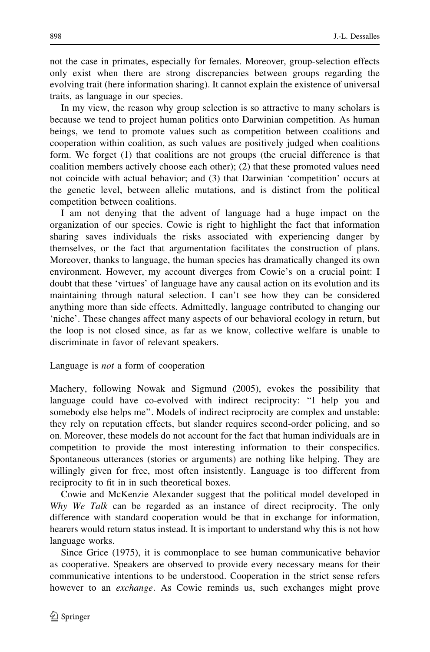not the case in primates, especially for females. Moreover, group-selection effects only exist when there are strong discrepancies between groups regarding the evolving trait (here information sharing). It cannot explain the existence of universal traits, as language in our species.

In my view, the reason why group selection is so attractive to many scholars is because we tend to project human politics onto Darwinian competition. As human beings, we tend to promote values such as competition between coalitions and cooperation within coalition, as such values are positively judged when coalitions form. We forget (1) that coalitions are not groups (the crucial difference is that coalition members actively choose each other); (2) that these promoted values need not coincide with actual behavior; and (3) that Darwinian 'competition' occurs at the genetic level, between allelic mutations, and is distinct from the political competition between coalitions.

I am not denying that the advent of language had a huge impact on the organization of our species. Cowie is right to highlight the fact that information sharing saves individuals the risks associated with experiencing danger by themselves, or the fact that argumentation facilitates the construction of plans. Moreover, thanks to language, the human species has dramatically changed its own environment. However, my account diverges from Cowie's on a crucial point: I doubt that these 'virtues' of language have any causal action on its evolution and its maintaining through natural selection. I can't see how they can be considered anything more than side effects. Admittedly, language contributed to changing our 'niche'. These changes affect many aspects of our behavioral ecology in return, but the loop is not closed since, as far as we know, collective welfare is unable to discriminate in favor of relevant speakers.

Language is not a form of cooperation

Machery, following Nowak and Sigmund (2005), evokes the possibility that language could have co-evolved with indirect reciprocity: ''I help you and somebody else helps me''. Models of indirect reciprocity are complex and unstable: they rely on reputation effects, but slander requires second-order policing, and so on. Moreover, these models do not account for the fact that human individuals are in competition to provide the most interesting information to their conspecifics. Spontaneous utterances (stories or arguments) are nothing like helping. They are willingly given for free, most often insistently. Language is too different from reciprocity to fit in in such theoretical boxes.

Cowie and McKenzie Alexander suggest that the political model developed in Why We Talk can be regarded as an instance of direct reciprocity. The only difference with standard cooperation would be that in exchange for information, hearers would return status instead. It is important to understand why this is not how language works.

Since Grice (1975), it is commonplace to see human communicative behavior as cooperative. Speakers are observed to provide every necessary means for their communicative intentions to be understood. Cooperation in the strict sense refers however to an *exchange*. As Cowie reminds us, such exchanges might prove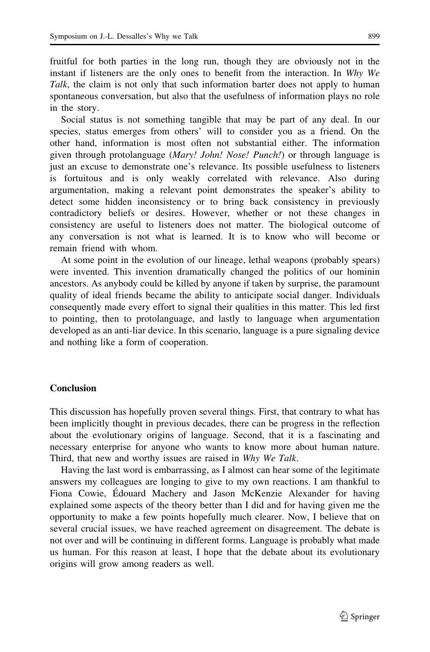fruitful for both parties in the long run, though they are obviously not in the instant if listeners are the only ones to benefit from the interaction. In Why We Talk, the claim is not only that such information barter does not apply to human spontaneous conversation, but also that the usefulness of information plays no role in the story.

Social status is not something tangible that may be part of any deal. In our species, status emerges from others' will to consider you as a friend. On the other hand, information is most often not substantial either. The information given through protolanguage (Mary! John! Nose! Punch!) or through language is just an excuse to demonstrate one's relevance. Its possible usefulness to listeners is fortuitous and is only weakly correlated with relevance. Also during argumentation, making a relevant point demonstrates the speaker's ability to detect some hidden inconsistency or to bring back consistency in previously contradictory beliefs or desires. However, whether or not these changes in consistency are useful to listeners does not matter. The biological outcome of any conversation is not what is learned. It is to know who will become or remain friend with whom.

At some point in the evolution of our lineage, lethal weapons (probably spears) were invented. This invention dramatically changed the politics of our hominin ancestors. As anybody could be killed by anyone if taken by surprise, the paramount quality of ideal friends became the ability to anticipate social danger. Individuals consequently made every effort to signal their qualities in this matter. This led first to pointing, then to protolanguage, and lastly to language when argumentation developed as an anti-liar device. In this scenario, language is a pure signaling device and nothing like a form of cooperation.

#### Conclusion

This discussion has hopefully proven several things. First, that contrary to what has been implicitly thought in previous decades, there can be progress in the reflection about the evolutionary origins of language. Second, that it is a fascinating and necessary enterprise for anyone who wants to know more about human nature. Third, that new and worthy issues are raised in Why We Talk.

Having the last word is embarrassing, as I almost can hear some of the legitimate answers my colleagues are longing to give to my own reactions. I am thankful to Fiona Cowie, Edouard Machery and Jason McKenzie Alexander for having explained some aspects of the theory better than I did and for having given me the opportunity to make a few points hopefully much clearer. Now, I believe that on several crucial issues, we have reached agreement on disagreement. The debate is not over and will be continuing in different forms. Language is probably what made us human. For this reason at least, I hope that the debate about its evolutionary origins will grow among readers as well.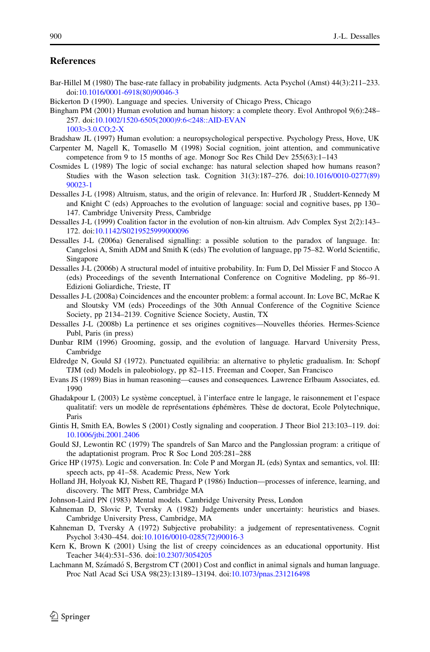#### **References**

- Bar-Hillel M (1980) The base-rate fallacy in probability judgments. Acta Psychol (Amst) 44(3):211–233. doi[:10.1016/0001-6918\(80\)90046-3](http://dx.doi.org/10.1016/0001-6918(80)90046-3)
- Bickerton D (1990). Language and species. University of Chicago Press, Chicago
- Bingham PM (2001) Human evolution and human history: a complete theory. Evol Anthropol 9(6):248– 257. doi[:10.1002/1520-6505\(2000\)9:6](http://dx.doi.org/10.1002/1520-6505(2000)9:6%3c248::AID-EVAN1003%3e3.0.CO;2-X)\248::AID-EVAN 1003>[3.0.CO;2-X](http://dx.doi.org/10.1002/1520-6505(2000)9:6%3c248::AID-EVAN1003%3e3.0.CO;2-X)
- Bradshaw JL (1997) Human evolution: a neuropsychological perspective. Psychology Press, Hove, UK
- Carpenter M, Nagell K, Tomasello M (1998) Social cognition, joint attention, and communicative competence from 9 to 15 months of age. Monogr Soc Res Child Dev 255(63):1–143
- Cosmides L (1989) The logic of social exchange: has natural selection shaped how humans reason? Studies with the Wason selection task. Cognition 31(3):187–276. doi:[10.1016/0010-0277\(89\)](http://dx.doi.org/10.1016/0010-0277(89)90023-1) [90023-1](http://dx.doi.org/10.1016/0010-0277(89)90023-1)
- Dessalles J-L (1998) Altruism, status, and the origin of relevance. In: Hurford JR , Studdert-Kennedy M and Knight C (eds) Approaches to the evolution of language: social and cognitive bases, pp 130– 147. Cambridge University Press, Cambridge
- Dessalles J-L (1999) Coalition factor in the evolution of non-kin altruism. Adv Complex Syst 2(2):143– 172. doi[:10.1142/S0219525999000096](http://dx.doi.org/10.1142/S0219525999000096)
- Dessalles J-L (2006a) Generalised signalling: a possible solution to the paradox of language. In: Cangelosi A, Smith ADM and Smith K (eds) The evolution of language, pp 75–82. World Scientific, Singapore
- Dessalles J-L (2006b) A structural model of intuitive probability. In: Fum D, Del Missier F and Stocco A (eds) Proceedings of the seventh International Conference on Cognitive Modeling, pp 86–91. Edizioni Goliardiche, Trieste, IT
- Dessalles J-L (2008a) Coincidences and the encounter problem: a formal account. In: Love BC, McRae K and Sloutsky VM (eds) Proceedings of the 30th Annual Conference of the Cognitive Science Society, pp 2134–2139. Cognitive Science Society, Austin, TX
- Dessalles J-L (2008b) La pertinence et ses origines cognitives—Nouvelles théories. Hermes-Science Publ, Paris (in press)
- Dunbar RIM (1996) Grooming, gossip, and the evolution of language. Harvard University Press, Cambridge
- Eldredge N, Gould SJ (1972). Punctuated equilibria: an alternative to phyletic gradualism. In: Schopf TJM (ed) Models in paleobiology, pp 82–115. Freeman and Cooper, San Francisco
- Evans JS (1989) Bias in human reasoning—causes and consequences. Lawrence Erlbaum Associates, ed. 1990
- Ghadakpour L (2003) Le système conceptuel, à l'interface entre le langage, le raisonnement et l'espace qualitatif: vers un modèle de représentations éphémères. Thèse de doctorat, Ecole Polytechnique, Paris
- Gintis H, Smith EA, Bowles S (2001) Costly signaling and cooperation. J Theor Biol 213:103–119. doi: [10.1006/jtbi.2001.2406](http://dx.doi.org/10.1006/jtbi.2001.2406)
- Gould SJ, Lewontin RC (1979) The spandrels of San Marco and the Panglossian program: a critique of the adaptationist program. Proc R Soc Lond 205:281–288
- Grice HP (1975). Logic and conversation. In: Cole P and Morgan JL (eds) Syntax and semantics, vol. III: speech acts, pp 41–58. Academic Press, New York
- Holland JH, Holyoak KJ, Nisbett RE, Thagard P (1986) Induction—processes of inference, learning, and discovery. The MIT Press, Cambridge MA
- Johnson-Laird PN (1983) Mental models. Cambridge University Press, London
- Kahneman D, Slovic P, Tversky A (1982) Judgements under uncertainty: heuristics and biases. Cambridge University Press, Cambridge, MA
- Kahneman D, Tversky A (1972) Subjective probability: a judgement of representativeness. Cognit Psychol 3:430–454. doi:[10.1016/0010-0285\(72\)90016-3](http://dx.doi.org/10.1016/0010-0285(72)90016-3)
- Kern K, Brown K (2001) Using the list of creepy coincidences as an educational opportunity. Hist Teacher 34(4):531–536. doi:[10.2307/3054205](http://dx.doi.org/10.2307/3054205)
- Lachmann M, Számadó S, Bergstrom CT (2001) Cost and conflict in animal signals and human language. Proc Natl Acad Sci USA 98(23):13189–13194. doi:[10.1073/pnas.231216498](http://dx.doi.org/10.1073/pnas.231216498)